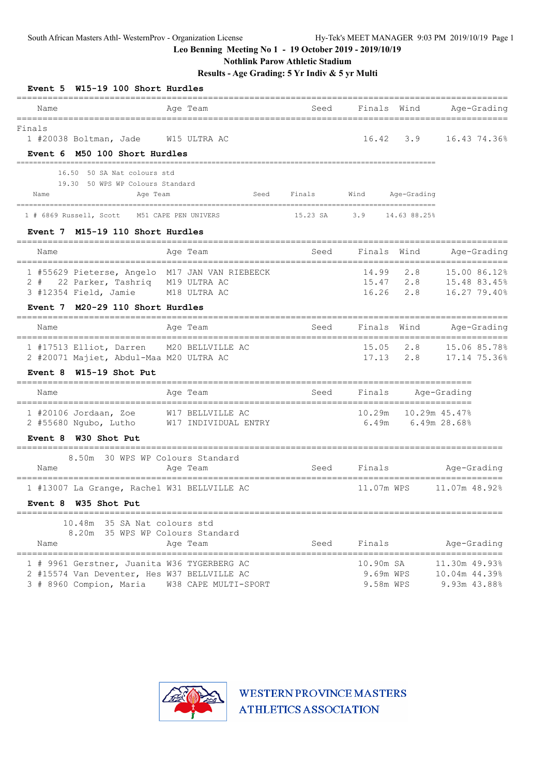**Nothlink Parow Athletic Stadium**

**Results - Age Grading: 5 Yr Indiv & 5 yr Multi**

| Event 5 W15-19 100 Short Hurdles                                               |                                           |          |             |                        |                                |              |
|--------------------------------------------------------------------------------|-------------------------------------------|----------|-------------|------------------------|--------------------------------|--------------|
| Name<br>===========                                                            | Age Team                                  | Seed     | Finals      | Wind                   |                                | Age-Grading  |
| Finals<br>1 #20038 Boltman, Jade W15 ULTRA AC<br>Event 6 M50 100 Short Hurdles |                                           |          | 16.42       | 3.9                    | 16.43 74.36%                   |              |
| 16.50 50 SA Nat colours std                                                    |                                           |          |             |                        |                                |              |
| 19.30 50 WPS WP Colours Standard                                               |                                           |          |             |                        |                                |              |
| Age Team<br>Name                                                               | Seed                                      | Finals   | Wind        | Age-Grading            |                                |              |
| 1 # 6869 Russell, Scott M51 CAPE PEN UNIVERS                                   |                                           | 15.23 SA | 3.9         | 14.63 88.25%           |                                |              |
| Event 7 M15-19 110 Short Hurdles                                               |                                           |          |             |                        |                                |              |
| Name                                                                           | Age Team<br>_____________________________ | Seed     | Finals      | Wind                   |                                | Age-Grading  |
| 1 #55629 Pieterse, Angelo M17 JAN VAN RIEBEECK                                 |                                           |          | 14.99       | 2.8                    |                                | 15.00 86.12% |
| 2 # 22 Parker, Tashriq M19 ULTRA AC                                            |                                           |          |             | 15.47 2.8              | 15.48 83.45%                   |              |
| 3 #12354 Field, Jamie                                                          | M18 ULTRA AC                              |          | 16.26       | 2.8                    |                                | 16.27 79.40% |
| Event 7 M20-29 110 Short Hurdles                                               |                                           |          |             |                        |                                |              |
| Name                                                                           | Age Team                                  | Seed     | Finals Wind |                        |                                | Age-Grading  |
| 1 #17513 Elliot, Darren                                                        | M20 BELLVILLE AC                          |          | 15.05       | 2.8                    |                                | 15.06 85.78% |
| 2 #20071 Majiet, Abdul-Maa M20 ULTRA AC                                        |                                           |          |             | 17.13 2.8              |                                | 17.14 75.36% |
| Event $8$ W15-19 Shot Put                                                      |                                           |          |             |                        |                                |              |
| Name                                                                           | Age Team                                  | Seed     | Finals      |                        | Age-Grading                    |              |
| $1$ #20106 Jordaan, Zoe                                                        | W17 BELLVILLE AC                          |          | 10.29m      | 10.29m 45.47%          |                                |              |
| 2 #55680 Ngubo, Lutho W17 INDIVIDUAL ENTRY                                     |                                           |          |             | $6.49m$ $6.49m$ 28.68% |                                |              |
| Event 8 W30 Shot Put                                                           |                                           |          |             |                        |                                |              |
| 8.50m 30 WPS WP Colours Standard                                               |                                           |          |             |                        |                                |              |
| Name                                                                           | Age Team                                  | Seed     | Finals      |                        | Age-Grading                    |              |
| 1 #13007 La Grange, Rachel W31 BELLVILLE AC                                    |                                           |          | 11.07m WPS  |                        | 11.07m 48.92%                  |              |
| Event 8 W35 Shot Put                                                           |                                           |          |             |                        |                                |              |
| 10.48m 35 SA Nat colours std                                                   |                                           |          |             |                        |                                |              |
| 8.20m 35 WPS WP Colours Standard<br>Name                                       | Age Team                                  | Seed     | Finals      |                        | Age-Grading                    |              |
| 1 # 9961 Gerstner, Juanita W36 TYGERBERG AC                                    |                                           |          | 10.90m SA   |                        |                                |              |
| 2 #15574 Van Deventer, Hes W37 BELLVILLE AC                                    |                                           |          | 9.69m WPS   |                        | 11.30m 49.93%<br>10.04m 44.39% |              |
| 3 # 8960 Compion, Maria                                                        | W38 CAPE MULTI-SPORT                      |          | 9.58m WPS   |                        | 9.93m 43.88%                   |              |

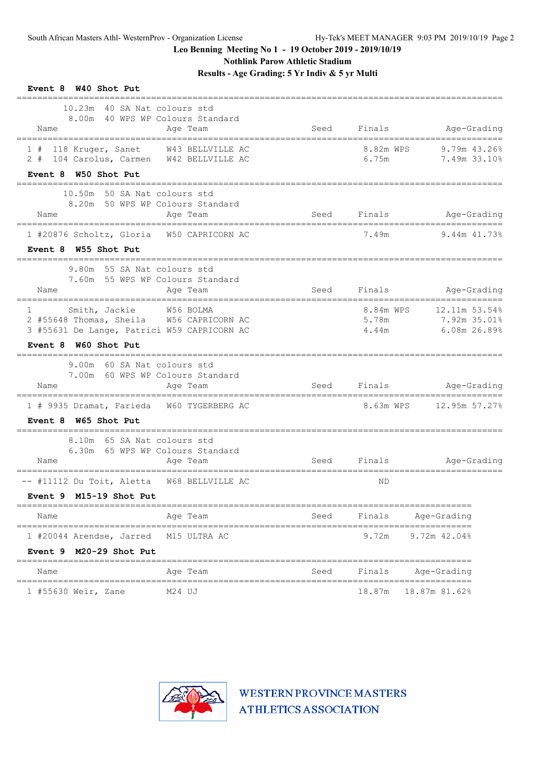**Nothlink Parow Athletic Stadium**

**Results - Age Grading: 5 Yr Indiv & 5 yr Multi**

| Event 8 W40 Shot Put                                                                                                                                                                   |      |                                        |                                               |
|----------------------------------------------------------------------------------------------------------------------------------------------------------------------------------------|------|----------------------------------------|-----------------------------------------------|
| 10.23m 40 SA Nat colours std<br>8.00m 40 WPS WP Colours Standard<br>Age Team<br>Name<br>======================================                                                         | Seed |                                        | Finals Age-Grading                            |
| 1 # 118 Kruger, Sanet W43 BELLVILLE AC<br>2 # 104 Carolus, Carmen W42 BELLVILLE AC<br>Event 8 W50 Shot Put                                                                             |      | 8.82m WPS<br>6.75m                     | $9.79m$ 43.26%<br>7.49m 33.10%                |
| 10.50m 50 SA Nat colours std<br>8.20m 50 WPS WP Colours Standard<br>Age Team<br>Name                                                                                                   |      | Seed Finals                            | Age-Grading                                   |
| 1 #20876 Scholtz, Gloria W50 CAPRICORN AC<br>Event 8 W55 Shot Put                                                                                                                      |      | 7.49m                                  | 9.44m 41.73%                                  |
| 9.80m 55 SA Nat colours std<br>7.60m 55 WPS WP Colours Standard<br>Name<br>Age Team                                                                                                    |      | -----------------------<br>Seed Finals | Age-Grading                                   |
| ======================================<br>1 Smith, Jackie M56 BOLMA<br>2 #55648 Thomas, Sheila M56 CAPRICORN AC<br>3 #55631 De Lange, Patrici W59 CAPRICORN AC<br>Event 8 W60 Shot Put |      | 8.84m WPS<br>5.78m<br>4.44m            | 12.11m 53.54%<br>7.92m 35.01%<br>6.08m 26.89% |
| ____________________________________<br>9.00m 60 SA Nat colours std<br>7.00m 60 WPS WP Colours Standard<br>Name<br>Age Team                                                            |      |                                        | Seed Finals Age-Grading                       |
| 1 # 9935 Dramat, Farieda W60 TYGERBERG AC<br>Event 8 W65 Shot Put                                                                                                                      |      | 8.63m WPS                              | 12.95m 57.27%                                 |
| 8.10m 65 SA Nat colours std<br>6.30m 65 WPS WP Colours Standard<br>Name<br>Age Team                                                                                                    | Seed | Finals                                 | Age-Grading                                   |
| -- #11112 Du Toit, Aletta W68 BELLVILLE AC<br>Event 9 M15-19 Shot Put                                                                                                                  |      | ND                                     |                                               |
| Age Team<br>Name                                                                                                                                                                       | Seed | Finals                                 | Age-Grading                                   |
| 1 #20044 Arendse, Jarred M15 ULTRA AC<br>Event 9 M20-29 Shot Put                                                                                                                       |      | 9.72m                                  | 9.72m 42.04%                                  |
| Age Team<br>Name                                                                                                                                                                       | Seed | Finals                                 | Age-Grading                                   |
| M24 UJ<br>1 #55630 Weir, Zane                                                                                                                                                          |      | 18.87m                                 | 18.87m 81.62%                                 |

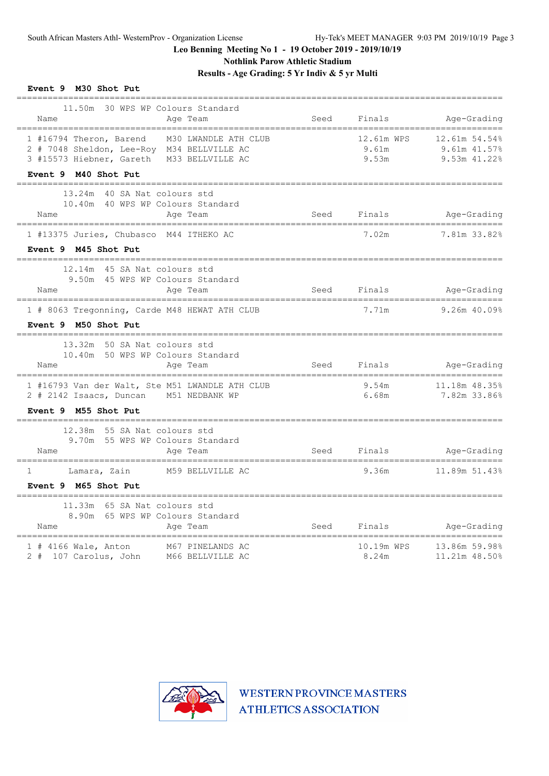**Nothlink Parow Athletic Stadium**

**Results - Age Grading: 5 Yr Indiv & 5 yr Multi**

#### **Event 9 M30 Shot Put**

| 11.50m 30 WPS WP Colours Standard                                                                                                                                |      |                              |                                                 |
|------------------------------------------------------------------------------------------------------------------------------------------------------------------|------|------------------------------|-------------------------------------------------|
| Name<br>Age Team                                                                                                                                                 | Seed | Finals                       | Age-Grading                                     |
| 1 #16794 Theron, Barend M30 LWANDLE ATH CLUB<br>2 # 7048 Sheldon, Lee-Roy M34 BELLVILLE AC<br>3 #15573 Hiebner, Gareth M33 BELLVILLE AC                          |      | 12.61m WPS<br>9.61m<br>9.53m | 12.61m 54.54%<br>9.61m 41.57%<br>$9.53m$ 41.22% |
| Event 9 M40 Shot Put                                                                                                                                             |      |                              |                                                 |
| 40 SA Nat colours std<br>13.24m<br>10.40m 40 WPS WP Colours Standard<br>Name<br>Age Team                                                                         |      |                              | Seed Finals Age-Grading                         |
| ================================<br>==============================<br>1 #13375 Juries, Chubasco M44 ITHEKO AC                                                    |      | 7.02m                        | 7.81m 33.82%                                    |
| Event 9 M45 Shot Put                                                                                                                                             |      |                              |                                                 |
| ==================================<br>12.14m 45 SA Nat colours std<br>9.50m 45 WPS WP Colours Standard<br>Name<br>Age Team                                       |      | Seed Finals                  | Age-Grading                                     |
| -------------------------------<br>---------------------<br>1 # 8063 Tregonning, Carde M48 HEWAT ATH CLUB<br>Event 9 M50 Shot Put                                |      | ____________<br>7.71m        | $9.26m$ 40.09%                                  |
| 13.32m 50 SA Nat colours std<br>10.40m 50 WPS WP Colours Standard<br>Name<br>Age Team                                                                            |      | Seed Finals                  | Age-Grading                                     |
| --------------------------------<br>;==============================<br>1 #16793 Van der Walt, Ste M51 LWANDLE ATH CLUB<br>2 # 2142 Isaacs, Duncan M51 NEDBANK WP |      | 9.54m<br>6.68m               | 11.18m 48.35%<br>7.82m 33.86%                   |
| Event 9 M55 Shot Put                                                                                                                                             |      |                              |                                                 |
| 12.38m 55 SA Nat colours std<br>9.70m 55 WPS WP Colours Standard<br>Name<br>Age Team                                                                             | Seed | Finals                       | Age-Grading                                     |
| Lamara, Zain M59 BELLVILLE AC<br>$\mathbf{1}$<br>Event 9 M65 Shot Put                                                                                            |      | 9.36m                        | 11.89m 51.43%                                   |
| 11.33m 65 SA Nat colours std<br>8.90m 65 WPS WP Colours Standard<br>Name<br>Age Team                                                                             | Seed | Finals                       | Age-Grading                                     |
| $1$ # 4166 Wale, Anton<br>M67 PINELANDS AC<br>M66 BELLVILLE AC<br>2 # 107 Carolus, John                                                                          |      | 10.19m WPS<br>8.24m          | 13.86m 59.98%<br>11.21m 48.50%                  |

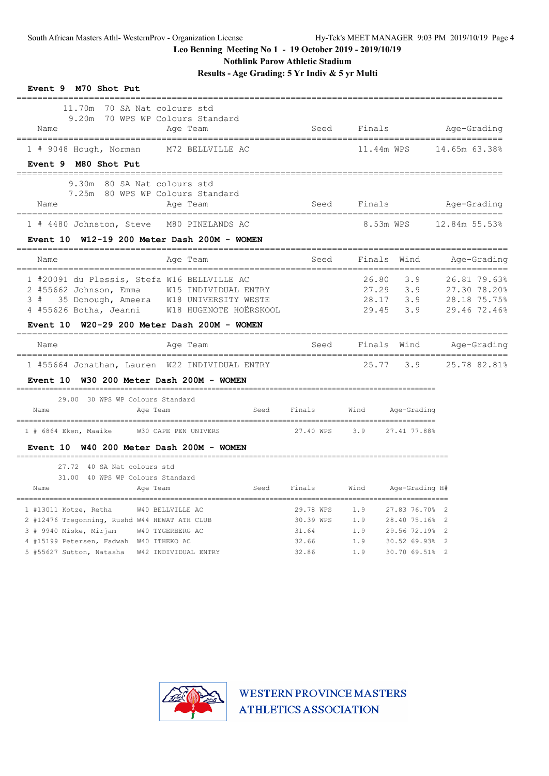**Nothlink Parow Athletic Stadium**

**Results - Age Grading: 5 Yr Indiv & 5 yr Multi**

| Event 9 M70 Shot Put                                                                                                                                                                                                                        |                                                              |      |                                                   |                                 |                                                                                        |               |                                              |
|---------------------------------------------------------------------------------------------------------------------------------------------------------------------------------------------------------------------------------------------|--------------------------------------------------------------|------|---------------------------------------------------|---------------------------------|----------------------------------------------------------------------------------------|---------------|----------------------------------------------|
| 11.70m<br>9.20m 70 WPS WP Colours Standard<br>Name                                                                                                                                                                                          | 70 SA Nat colours std<br>Age Team                            |      | Seed                                              | Finals                          |                                                                                        | Age-Grading   |                                              |
| 1 # 9048 Hough, Norman M72 BELLVILLE AC                                                                                                                                                                                                     |                                                              |      |                                                   |                                 | 11.44m WPS                                                                             | 14.65m 63.38% |                                              |
| Event 9 M80 Shot Put                                                                                                                                                                                                                        |                                                              |      |                                                   |                                 |                                                                                        |               |                                              |
| 9.30m 80 SA Nat colours std<br>7.25m 80 WPS WP Colours Standard<br>Name                                                                                                                                                                     | Age Team                                                     |      | Seed                                              | Finals                          |                                                                                        | Age-Grading   |                                              |
| 1 # 4480 Johnston, Steve M80 PINELANDS AC                                                                                                                                                                                                   |                                                              |      |                                                   |                                 | 8.53m WPS                                                                              | 12.84m 55.53% |                                              |
| Event $10$ W12-19 200 Meter Dash 200M - WOMEN                                                                                                                                                                                               |                                                              |      |                                                   |                                 |                                                                                        |               |                                              |
| Name                                                                                                                                                                                                                                        | Age Team                                                     |      | Seed                                              |                                 | Finals Wind                                                                            |               | Age-Grading                                  |
| 1 #20091 du Plessis, Stefa W16 BELLVILLE AC<br>2 #55662 Johnson, Emma W15 INDIVIDUAL ENTRY<br>3 # 35 Donough, Ameera W18 UNIVERSITY WESTE<br>4 #55626 Botha, Jeanni W18 HUGENOTE HOËRSKOOL<br>Event $10$ W20-29 200 Meter Dash 200M - WOMEN |                                                              |      |                                                   |                                 | 3.9<br>26.80<br>27.29 3.9<br>28.17 3.9 28.18 75.75%<br>29.45 3.9                       |               | 26.81 79.63%<br>27.30 78.20%<br>29.46 72.46% |
| Name                                                                                                                                                                                                                                        | Age Team                                                     |      | Seed                                              |                                 | Finals Wind                                                                            |               | Age-Grading                                  |
| 1 #55664 Jonathan, Lauren W22 INDIVIDUAL ENTRY<br>Event 10 W30 200 Meter Dash 200M - WOMEN                                                                                                                                                  |                                                              |      |                                                   |                                 | 25.77 3.9                                                                              |               | 25.78 82.81%                                 |
| 29.00 30 WPS WP Colours Standard<br>Name<br>Age Team                                                                                                                                                                                        |                                                              | Seed | Finals                                            | Wind                            | Age-Grading                                                                            |               |                                              |
| 1 # 6864 Eken, Maaike W30 CAPE PEN UNIVERS                                                                                                                                                                                                  |                                                              |      | 27.40 WPS                                         | 3.9                             | 27.41 77.88%                                                                           |               |                                              |
| Event 10 W40 200 Meter Dash 200M - WOMEN                                                                                                                                                                                                    |                                                              |      |                                                   |                                 |                                                                                        |               |                                              |
| 27.72 40 SA Nat colours std<br>31.00 40 WPS WP Colours Standard                                                                                                                                                                             |                                                              |      |                                                   |                                 |                                                                                        |               |                                              |
| Name<br>Age Team                                                                                                                                                                                                                            |                                                              | Seed | Finals                                            |                                 | Wind Age-Grading H#                                                                    |               |                                              |
| 1 #13011 Kotze, Retha<br>2 #12476 Tregonning, Rushd W44 HEWAT ATH CLUB<br>3 # 9940 Miske, Mirjam<br>4 #15199 Petersen, Fadwah W40 ITHEKO AC<br>5 #55627 Sutton, Natasha                                                                     | W40 BELLVILLE AC<br>W40 TYGERBERG AC<br>W42 INDIVIDUAL ENTRY |      | 29.78 WPS<br>30.39 WPS<br>31.64<br>32.66<br>32.86 | 1.9<br>1.9<br>1.9<br>1.9<br>1.9 | 27.83 76.70% 2<br>28.40 75.16% 2<br>29.56 72.19% 2<br>30.52 69.93% 2<br>30.70 69.51% 2 |               |                                              |
|                                                                                                                                                                                                                                             |                                                              |      |                                                   |                                 |                                                                                        |               |                                              |

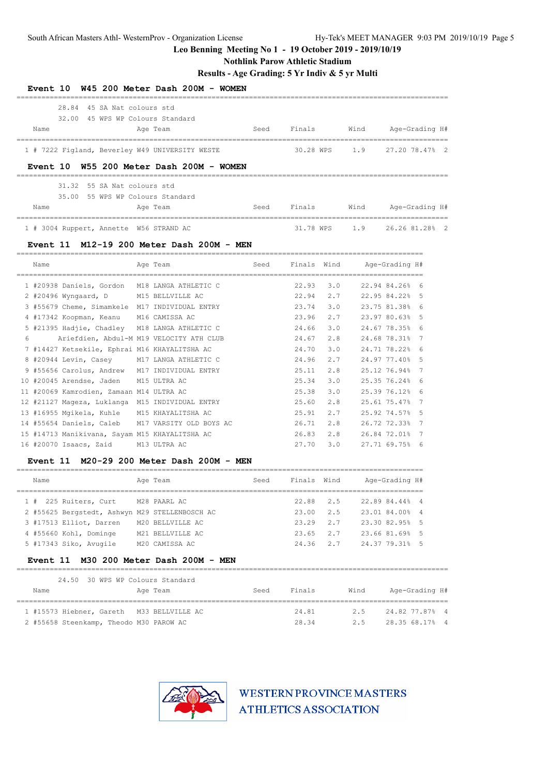**Event 10 W45 200 Meter Dash 200M - WOMEN**

## **Leo Benning Meeting No 1 - 19 October 2019 - 2019/10/19**

**Nothlink Parow Athletic Stadium**

## **Results - Age Grading: 5 Yr Indiv & 5 yr Multi**

| Name            | 28.84 45 SA Nat colours std<br>32.00 45 WPS WP Colours Standard | Age Team                                         |      | Seed Finals |     | Wind<br>_____________________________ |                    | Age-Grading H# |
|-----------------|-----------------------------------------------------------------|--------------------------------------------------|------|-------------|-----|---------------------------------------|--------------------|----------------|
|                 |                                                                 | 1 # 7222 Figland, Beverley W49 UNIVERSITY WESTE  |      | 30.28 WPS   |     | 1.9                                   |                    | 27.20 78.47% 2 |
|                 |                                                                 | Event 10 W55 200 Meter Dash 200M - WOMEN         |      |             |     |                                       |                    |                |
|                 | 31.32 55 SA Nat colours std                                     |                                                  |      |             |     |                                       |                    |                |
|                 | 35.00 55 WPS WP Colours Standard                                |                                                  |      |             |     |                                       |                    |                |
| Name            |                                                                 | Age Team                                         | Seed | Finals      |     | Wind                                  |                    | Age-Grading H# |
|                 | 1 # 3004 Ruppert, Annette W56 STRAND AC                         |                                                  |      |             |     | 31.78 WPS 1.9 26.26 81.28% 2          | ------------------ |                |
|                 |                                                                 | Event 11 M12-19 200 Meter Dash 200M - MEN        |      |             |     |                                       |                    |                |
| Name            |                                                                 | Age Team                                         | Seed | Finals Wind |     |                                       | Aqe-Grading H#     |                |
|                 |                                                                 | 1 #20938 Daniels, Gordon M18 LANGA ATHLETIC C    |      | 22.93       | 3.0 | ============                          | 22.94 84.26% 6     |                |
|                 | 2 #20496 Wyngaard, D                                            | M15 BELLVILLE AC                                 |      | 22.94       | 2.7 |                                       | 22.95 84.22% 5     |                |
|                 |                                                                 | 3 #55679 Cheme, Simamkele M17 INDIVIDUAL ENTRY   |      | 23.74       | 3.0 |                                       | 23.75 81.38%       | 6              |
|                 | 4 #17342 Koopman, Keanu M16 CAMISSA AC                          |                                                  |      | 23.96       | 2.7 |                                       | 23.97 80.63%       | 5              |
|                 |                                                                 | 5 #21395 Hadjie, Chadley M18 LANGA ATHLETIC C    |      | 24.66       | 3.0 |                                       | 24.67 78.35% 6     |                |
| 6               |                                                                 | Ariefdien, Abdul-M M19 VELOCITY ATH CLUB         |      | 24.67       | 2.8 |                                       | 24.68 78.31% 7     |                |
|                 |                                                                 | 7 #14427 Ketsekile, Ephrai M16 KHAYALITSHA AC    |      | 24.70       | 3.0 |                                       | 24.71 78.22%       | 6              |
|                 | 8 #20944 Levin, Casey                                           | M17 LANGA ATHLETIC C                             |      | 24.96       | 2.7 |                                       | 24.97 77.40% 5     |                |
|                 |                                                                 | 9 #55656 Carolus, Andrew M17 INDIVIDUAL ENTRY    |      | 25.11       | 2.8 |                                       | 25.12 76.94%       | 7              |
|                 | 10 #20045 Arendse, Jaden M15 ULTRA AC                           |                                                  |      | 25.34       | 3.0 |                                       | 25.35 76.24%       | 6              |
|                 | 11 #20069 Kamrodien, Zamaan M14 ULTRA AC                        |                                                  |      | 25.38       | 3.0 |                                       | 25.39 76.12%       | 6              |
|                 |                                                                 | 12 #21127 Mageza, Luklanga M15 INDIVIDUAL ENTRY  |      | 25.60       | 2.8 |                                       | 25.61 75.47%       | 7              |
|                 |                                                                 | 13 #16955 Mgikela, Kuhle M15 KHAYALITSHA AC      |      | 25.91       | 2.7 |                                       | 25.92 74.57%       | 5              |
|                 |                                                                 | 14 #55654 Daniels, Caleb M17 VARSITY OLD BOYS AC |      | 26.71       | 2.8 |                                       | 26.72 72.33%       | 7              |
|                 |                                                                 | 15 #14713 Manikivana, Sayam M15 KHAYALITSHA AC   |      | 26.83       | 2.8 |                                       | 26.84 72.01%       | 7              |
|                 | 16 #20070 Isaacs, Zaid                                          | M13 ULTRA AC                                     |      | 27.70       | 3.0 |                                       | 27.71 69.75% 6     |                |
| <b>Event 11</b> |                                                                 | M20-29 200 Meter Dash 200M - MEN                 |      |             |     |                                       |                    |                |
| Name            | ______________                                                  | Age Team                                         | Seed | Finals Wind |     | ___________________________________   | Age-Grading H#     |                |
|                 | 1 # 225 Ruiters, Curt                                           | M28 PAARL AC                                     |      | 22.88       | 2.5 |                                       | 22.89 84.44% 4     |                |
|                 |                                                                 | 2 #55625 Bergstedt, Ashwyn M29 STELLENBOSCH AC   |      | 23.00       | 2.5 |                                       | 23.01 84.00% 4     |                |
|                 | 3 #17513 Elliot, Darren M20 BELLVILLE AC                        |                                                  |      | 23.29       | 2.7 |                                       | 23.30 82.95% 5     |                |
|                 | 4 #55660 Kohl, Dominge                                          | M21 BELLVILLE AC                                 |      | 23.65       | 2.7 |                                       | 23.66 81.69% 5     |                |
|                 | 5 #17343 Siko, Avugile                                          | M20 CAMISSA AC                                   |      | 24.36       | 2.7 |                                       | 24.37 79.31% 5     |                |
|                 |                                                                 | Event 11 M30 200 Meter Dash 200M - MEN           |      |             |     |                                       |                    |                |

|      |  | 24.50 30 WPS WP Colours Standard          |      |        |      |                |
|------|--|-------------------------------------------|------|--------|------|----------------|
| Name |  | Age Team                                  | Seed | Finals | Wind | Age-Grading H# |
|      |  |                                           |      |        |      |                |
|      |  | 1 #15573 Hiebner, Gareth M33 BELLVILLE AC |      | 24.81  | 2.5  | 24.82.77.87% 4 |
|      |  | 2 #55658 Steenkamp, Theodo M30 PAROW AC   |      | 28.34  | 2.5  | 28.35 68.17% 4 |

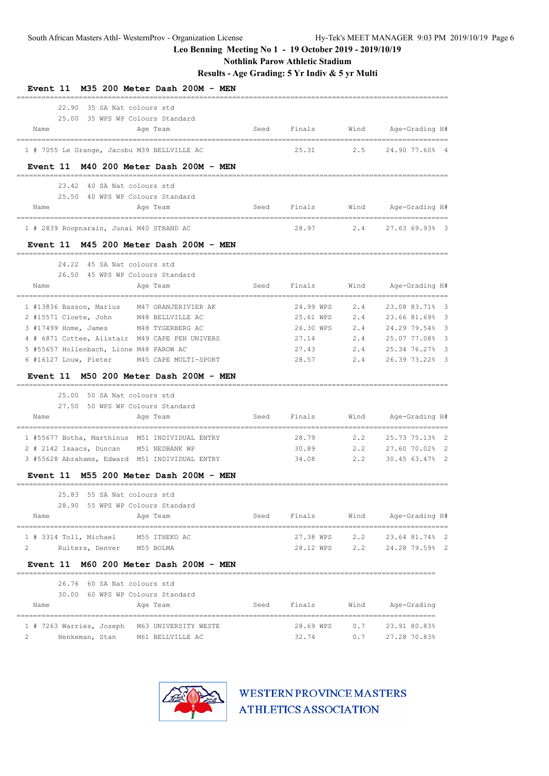**Nothlink Parow Athletic Stadium**

**Results - Age Grading: 5 Yr Indiv & 5 yr Multi**

| M35 200 Meter Dash 200M - MEN<br><b>Event 11</b>                             |      |               |             |                                                  |
|------------------------------------------------------------------------------|------|---------------|-------------|--------------------------------------------------|
| 22.90<br>35 SA Nat colours std                                               |      |               |             |                                                  |
| 25.00 35 WPS WP Colours Standard                                             |      |               |             |                                                  |
| Name<br>Age Team                                                             | Seed | Finals        | Wind        | Age-Grading H#                                   |
| 1 # 7055 Le Grange, Jacobu M39 BELLVILLE AC                                  |      | 25.31         | 2.5         | 24.90 77.60% 4                                   |
| Event 11 M40 200 Meter Dash 200M - MEN                                       |      |               |             |                                                  |
| 23.42<br>40 SA Nat colours std                                               |      |               |             |                                                  |
| 25.50 40 WPS WP Colours Standard                                             |      |               |             |                                                  |
| Name<br>Age Team                                                             | Seed | Finals        | Wind        | Age-Grading H#                                   |
| 1 # 2839 Roopnarain, Junai M40 STRAND AC                                     |      | 28.97         | 2.4         | 27.63 69.93% 3                                   |
| Event 11 M45 200 Meter Dash 200M - MEN                                       |      |               |             |                                                  |
| 24.22<br>45 SA Nat colours std                                               |      |               |             |                                                  |
| 26.50 45 WPS WP Colours Standard                                             |      |               |             |                                                  |
| Age Team<br>Name                                                             | Seed | Finals        | Wind        | Age-Grading H#                                   |
| 1 #13836 Basson, Marius<br>M47 ORANJERIVIER AK                               |      | 24.99 WPS     | 2.4         | 23.08 83.71%<br>$\overline{\mathbf{3}}$          |
| 2 #15571 Cloete, John<br>M48 BELLVILLE AC                                    |      | 25.61 WPS     | 2.4         | 23.66 81.69%<br>- 3                              |
| M48 TYGERBERG AC<br>3 #17499 Home, James                                     |      | 26.30 WPS     | 2.4         | 24.29 79.54%<br>$\overline{\mathbf{3}}$          |
| 4 # 6871 Cottee, Alistair M49 CAPE PEN UNIVERS                               |      | 27.14         | 2.4         | 25.07 77.08% 3                                   |
| 5 #55657 Hollenbach, Lione M48 PAROW AC                                      |      | 27.43         | 2.4         | 25.34 76.27% 3                                   |
| 6 #16127 Louw, Pieter<br>M45 CAPE MULTI-SPORT                                |      | 28.57         | 2.4         | 26.39 73.22% 3                                   |
| Event 11 M50 200 Meter Dash 200M - MEN                                       |      |               |             |                                                  |
| 25.00<br>50 SA Nat colours std                                               |      |               |             |                                                  |
| 27.50 50 WPS WP Colours Standard                                             |      |               |             |                                                  |
| Name<br>Age Team                                                             | Seed | Finals        | Wind        | Age-Grading H#<br>===================            |
| 1 #55677 Botha, Marthinus M51 INDIVIDUAL ENTRY                               |      | 28.79         | 2.2         | 25.73 75.13% 2                                   |
| 2 # 2142 Isaacs, Duncan M51 NEDBANK WP                                       |      | 30.89         | 2.2         | 27.60 70.02% 2                                   |
| 3 #55628 Abrahams, Edward M51 INDIVIDUAL ENTRY                               |      | 34.08         | $2 \cdot 2$ | 30.45 63.47% 2                                   |
| Event 11 M55 200 Meter Dash 200M - MEN                                       |      |               |             |                                                  |
| 25.83 55 SA Nat colours std                                                  |      |               |             |                                                  |
| 28.90 55 WPS WP Colours Standard                                             |      |               |             |                                                  |
| Name<br>Age Team<br>==================================                       | Seed | Finals        | Wind        | Age-Grading H#                                   |
| 1 # 3314 Toll, Michael M55 ITHEKO AC                                         |      | 27.38 WPS 2.2 |             | 23.64 81.74% 2                                   |
| 2<br>Ruiters, Denver M55 BOLMA                                               |      | 28.12 WPS 2.2 |             | 24.28 79.59% 2                                   |
| Event 11 M60 200 Meter Dash 200M - MEN                                       |      |               |             |                                                  |
| 26.76 60 SA Nat colours std                                                  |      |               |             |                                                  |
| 30.00 60 WPS WP Colours Standard                                             |      |               |             |                                                  |
| Name<br>Age Team                                                             |      |               |             | Seed Finals Wind Age-Grading                     |
| ===========================<br>1 # 7263 Warries, Joseph M63 UNIVERSITY WESTE |      | 28.69 WPS     | 0.7         | ================================<br>23.91 80.83% |
| 2<br>Henkeman, Stan M61 BELLVILLE AC                                         |      | 32.74         | 0.7         | 27.28 70.83%                                     |

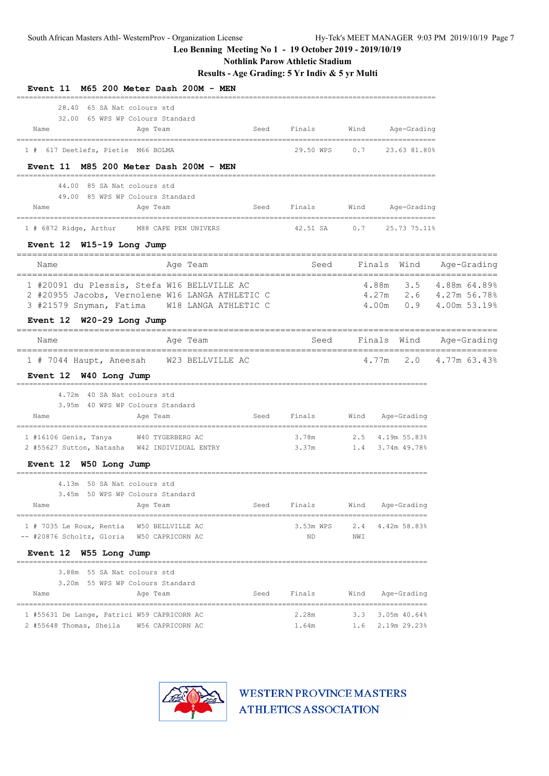**Nothlink Parow Athletic Stadium**

**Results - Age Grading: 5 Yr Indiv & 5 yr Multi**

| Event 11 M65 200 Meter Dash 200M - MEN                                                                                                         |          |      |                        |      |                                  |                                                                         |
|------------------------------------------------------------------------------------------------------------------------------------------------|----------|------|------------------------|------|----------------------------------|-------------------------------------------------------------------------|
| 28.40 65 SA Nat colours std<br>32.00 65 WPS WP Colours Standard<br>Name                                                                        | Age Team | Seed | Finals                 | Wind | Age-Grading                      |                                                                         |
| 1 # 617 Deetlefs, Pietie M66 BOLMA                                                                                                             |          |      | 29.50 WPS              | 0.7  | 23.63 81.80%                     |                                                                         |
| Event 11 M85 200 Meter Dash 200M - MEN                                                                                                         |          |      |                        |      |                                  |                                                                         |
| 44.00 85 SA Nat colours std<br>49.00 85 WPS WP Colours Standard<br>Name                                                                        | Age Team | Seed | Finals                 |      | Wind Age-Grading                 |                                                                         |
| 1 # 6872 Ridge, Arthur M88 CAPE PEN UNIVERS                                                                                                    |          |      | 42.51 SA               | 0.7  | 25.73 75.11%                     |                                                                         |
| Event 12 W15-19 Long Jump                                                                                                                      |          |      |                        |      |                                  |                                                                         |
| Name                                                                                                                                           | Age Team |      | Seed                   |      |                                  | Finals Wind Age-Grading                                                 |
| 1 #20091 du Plessis, Stefa W16 BELLVILLE AC<br>2 #20955 Jacobs, Vernolene W16 LANGA ATHLETIC C<br>3 #21579 Snyman, Fatima W18 LANGA ATHLETIC C |          |      |                        |      | ================<br>4.88m        | 3.5 4.88m 64.89%<br>4.27m 2.6 4.27m 56.78%<br>4.00m  0.9  4.00m  53.19% |
| Event 12 W20-29 Long Jump<br>------------------------                                                                                          |          |      |                        |      |                                  |                                                                         |
| Name                                                                                                                                           | Age Team |      | Seed                   |      | Finals Wind                      | Age-Grading<br>============                                             |
| 1 # 7044 Haupt, Aneesah W23 BELLVILLE AC<br>Event 12 W40 Long Jump                                                                             |          |      |                        |      | 4.77m<br>2.0                     | 4.77m 63.43%                                                            |
| 4.72m 40 SA Nat colours std<br>3.95m 40 WPS WP Colours Standard<br>Name                                                                        | Age Team | Seed | Finals                 | Wind | Age-Grading                      |                                                                         |
| 1 #16106 Genis, Tanya W40 TYGERBERG AC                                                                                                         |          |      | 3.78m                  |      | 2.5 4.19m 55.83%                 |                                                                         |
| 2 #55627 Sutton, Natasha W42 INDIVIDUAL ENTRY                                                                                                  |          |      | 3.37m                  |      | 1.4 3.74m 49.78%                 |                                                                         |
| Event 12 W50 Long Jump<br>4.13m 50 SA Nat colours std                                                                                          |          |      |                        |      |                                  |                                                                         |
| 3.45m 50 WPS WP Colours Standard<br>Name                                                                                                       | Age Team | Seed | Finals                 | Wind | Age-Grading                      |                                                                         |
| 1 # 7035 Le Roux, Rentia W50 BELLVILLE AC<br>-- #20876 Scholtz, Gloria W50 CAPRICORN AC                                                        |          |      | 3.53m WPS<br><b>ND</b> | NWI  | 2.4 4.42m 58.83%                 |                                                                         |
| Event 12 W55 Long Jump                                                                                                                         |          |      |                        |      |                                  |                                                                         |
| 3.88m 55 SA Nat colours std<br>3.20m 55 WPS WP Colours Standard<br>Name                                                                        | Age Team | Seed | Finals                 | Wind | Age-Grading                      |                                                                         |
| 1 #55631 De Lange, Patrici W59 CAPRICORN AC<br>2 #55648 Thomas, Sheila W56 CAPRICORN AC                                                        |          |      | 2.28m<br>1.64m         | 3.3  | 3.05m 40.64%<br>1.6 2.19m 29.23% |                                                                         |

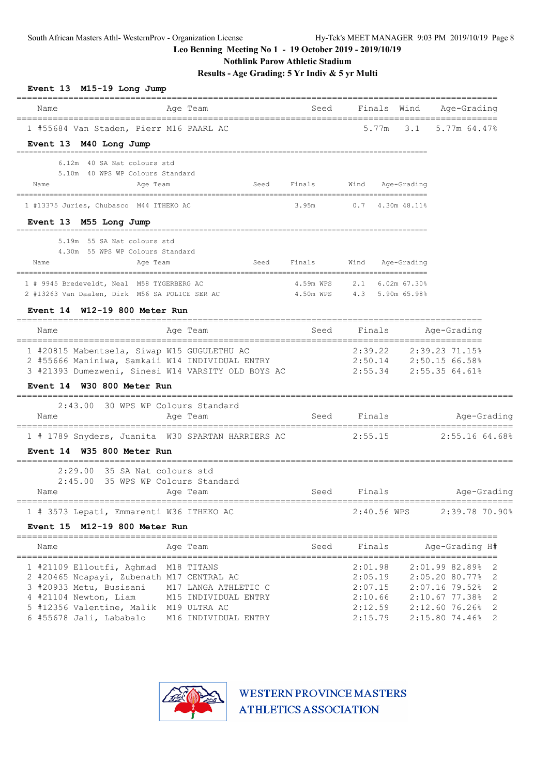**Nothlink Parow Athletic Stadium**

**Results - Age Grading: 5 Yr Indiv & 5 yr Multi**

| Name                                       | Age Team                                                                                                                                             | Seed                       |                    |  | Finals Wind Age-Grading                                                                   |   |
|--------------------------------------------|------------------------------------------------------------------------------------------------------------------------------------------------------|----------------------------|--------------------|--|-------------------------------------------------------------------------------------------|---|
|                                            | 1 #55684 Van Staden, Pierr M16 PAARL AC                                                                                                              |                            |                    |  | 5.77m 3.1 5.77m 64.47%                                                                    |   |
| Event 13 M40 Long Jump                     |                                                                                                                                                      |                            |                    |  |                                                                                           |   |
| 6.12m 40 SA Nat colours std                | 5.10m 40 WPS WP Colours Standard                                                                                                                     |                            |                    |  |                                                                                           |   |
| Name                                       | Age Team                                                                                                                                             | Seed Finals                | Wind Age-Grading   |  |                                                                                           |   |
| 1 #13375 Juries, Chubasco M44 ITHEKO AC    |                                                                                                                                                      | 3.95m                      | $0.7$ 4.30m 48.11% |  |                                                                                           |   |
| Event 13 M55 Long Jump                     |                                                                                                                                                      |                            |                    |  |                                                                                           |   |
| 5.19m 55 SA Nat colours std                | 4.30m 55 WPS WP Colours Standard                                                                                                                     |                            |                    |  |                                                                                           |   |
| Name                                       | Age Team                                                                                                                                             | Seed Finals                | Wind Age-Grading   |  |                                                                                           |   |
| 1 # 9945 Bredeveldt, Neal M58 TYGERBERG AC |                                                                                                                                                      | 4.59m WPS 2.1 6.02m 67.30% |                    |  |                                                                                           |   |
|                                            | 2 #13263 Van Daalen, Dirk M56 SA POLICE SER AC                                                                                                       | 4.50m WPS 4.3 5.90m 65.98% |                    |  |                                                                                           |   |
| Event 14 W12-19 800 Meter Run              |                                                                                                                                                      |                            |                    |  |                                                                                           |   |
| Name                                       | Age Team                                                                                                                                             | Seed                       | Finals             |  | Age-Grading                                                                               |   |
|                                            | 1 #20815 Mabentsela, Siwap W15 GUGULETHU AC<br>2 #55666 Maniniwa, Samkaii W14 INDIVIDUAL ENTRY<br>3 #21393 Dumezweni, Sinesi W14 VARSITY OLD BOYS AC |                            |                    |  | 2:39.22 2:39.23 71.15%<br>2:50.14 2:50.15 66.58%<br>2:55.34 2:55.35 64.61%                |   |
| Event 14 W30 800 Meter Run                 |                                                                                                                                                      |                            |                    |  |                                                                                           |   |
| Name                                       | 2:43.00 30 WPS WP Colours Standard<br>Age Team                                                                                                       |                            | Seed Finals        |  | Age-Grading                                                                               |   |
|                                            | 1 # 1789 Snyders, Juanita W30 SPARTAN HARRIERS AC                                                                                                    | 2:55.15                    |                    |  | 2:55.16 64.68%                                                                            |   |
| Event 14 W35 800 Meter Run                 |                                                                                                                                                      |                            |                    |  |                                                                                           |   |
|                                            | $2:29.00$ 35 SA Nat colours std                                                                                                                      |                            |                    |  |                                                                                           |   |
| Name                                       | 2:45.00 35 WPS WP Colours Standard<br>Age Team                                                                                                       | Seed                       | Finals             |  | Age-Grading                                                                               |   |
|                                            | 1 # 3573 Lepati, Emmarenti W36 ITHEKO AC                                                                                                             |                            |                    |  | 2:40.56 WPS 2:39.78 70.90%                                                                |   |
| Event 15 M12-19 800 Meter Run              |                                                                                                                                                      |                            |                    |  |                                                                                           |   |
| Name                                       | Age Team                                                                                                                                             | Seed                       |                    |  | Finals Age-Grading H#                                                                     |   |
|                                            | 1 #21109 Elloutfi, Aghmad M18 TITANS<br>2 #20465 Ncapayi, Zubenath M17 CENTRAL AC<br>3 #20933 Metu, Busisani M17 LANGA ATHLETIC C                    |                            |                    |  | $2:01.98$ $2:01.99$ $82.89$ $2$<br>2:05.19 2:05.20 80.77% 2<br>$2:07.15$ $2:07.16$ 79.52% | 2 |
|                                            | 4 #21104 Newton, Liam M15 INDIVIDUAL ENTRY<br>5 #12356 Valentine, Malik M19 ULTRA AC                                                                 |                            |                    |  | 2:10.66 2:10.67 77.38%<br>2:12.59 2:12.60 76.26% 2                                        | 2 |
|                                            | 6 #55678 Jali, Lababalo M16 INDIVIDUAL ENTRY                                                                                                         |                            |                    |  | 2:15.79 2:15.80 74.46% 2                                                                  |   |

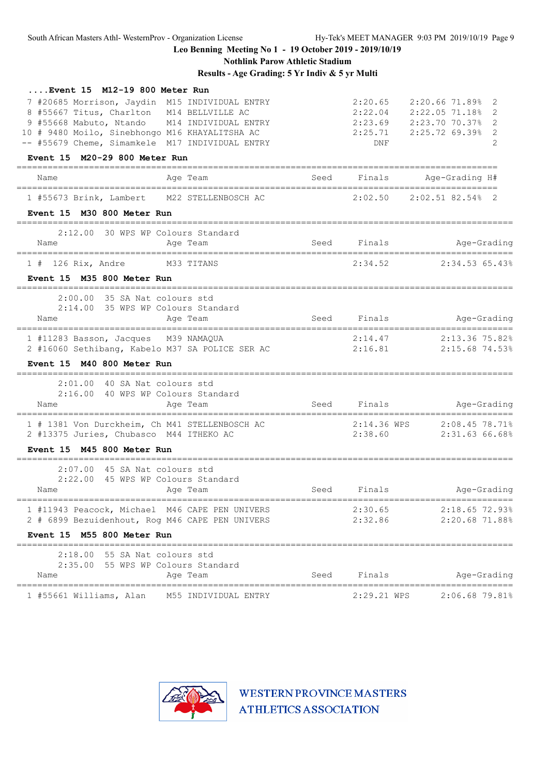South African Masters Athl- WesternProv - Organization License Hy-Tek's MEET MANAGER 9:03 PM 2019/10/19 Page 9

**Leo Benning Meeting No 1 - 19 October 2019 - 2019/10/19**

**Nothlink Parow Athletic Stadium**

**Results - Age Grading: 5 Yr Indiv & 5 yr Multi**

| Event 15 M12-19 800 Meter Run                       |      |             |                                            |
|-----------------------------------------------------|------|-------------|--------------------------------------------|
| 7 #20685 Morrison, Jaydin M15 INDIVIDUAL ENTRY      |      | 2:20.65     | 2:20.66 71.89%<br>2                        |
| 8 #55667 Titus, Charlton M14 BELLVILLE AC           |      | 2:22.04     | 2:22.05 71.18%<br>$\overline{2}$           |
| 9 #55668 Mabuto, Ntando<br>M14 INDIVIDUAL ENTRY     |      | 2:23.69     | 2:23.70 70.37% 2                           |
| 10 # 9480 Moilo, Sinebhongo M16 KHAYALITSHA AC      |      | 2:25.71     | $2:25.72$ 69.39%<br>2                      |
| -- #55679 Cheme, Simamkele M17 INDIVIDUAL ENTRY     |      | DNF         | 2                                          |
| Event 15 M20-29 800 Meter Run                       |      |             |                                            |
| Name<br>Age Team                                    | Seed | Finals      | Age-Grading H#                             |
| 1 #55673 Brink, Lambert M22 STELLENBOSCH AC         |      | 2:02.50     | ====================<br>$2:02.51$ 82.54% 2 |
| Event 15 M30 800 Meter Run                          |      |             |                                            |
| 2:12.00 30 WPS WP Colours Standard                  |      |             |                                            |
| Name<br>Age Team                                    |      | Seed Finals | Age-Grading                                |
| 1 # 126 Rix, Andre M33 TITANS                       |      | 2:34.52     | 2:34.53 65.43%                             |
| Event 15 M35 800 Meter Run                          |      |             |                                            |
| $2:00.00$ 35 SA Nat colours std                     |      |             |                                            |
| 2:14.00 35 WPS WP Colours Standard                  |      |             |                                            |
| Name<br>Age Team                                    | Seed | Finals      | Age-Grading                                |
| 1 #11283 Basson, Jacques M39 NAMAQUA                |      | 2:14.47     | 2:13.36 75.82%                             |
| 2 #16060 Sethibang, Kabelo M37 SA POLICE SER AC     |      | 2:16.81     | $2:15.68$ 74.53%                           |
| Event 15 M40 800 Meter Run                          |      |             |                                            |
| 2:01.00 40 SA Nat colours std                       |      |             |                                            |
| 2:16.00 40 WPS WP Colours Standard                  |      |             |                                            |
| Age Team<br>Name                                    |      | Seed Finals | Age-Grading                                |
| 1 # 1381 Von Durckheim, Ch M41 STELLENBOSCH AC      |      | 2:14.36 WPS | 2:08.45 78.71%                             |
| 2 #13375 Juries, Chubasco M44 ITHEKO AC             |      | 2:38.60     | 2:31.63 66.68%                             |
| Event 15 M45 800 Meter Run<br>===================== |      |             |                                            |
| 2:07.00 45 SA Nat colours std                       |      |             |                                            |
| 2:22.00 45 WPS WP Colours Standard                  |      |             |                                            |
| Age Team<br>Name                                    | Seed | Finals      | Age-Grading                                |
| 1 #11943 Peacock, Michael M46 CAPE PEN UNIVERS      |      | 2:30.65     | 2:18.65 72.93%                             |
| 2 # 6899 Bezuidenhout, Rog M46 CAPE PEN UNIVERS     |      | 2:32.86     | 2:20.68 71.88%                             |
| Event 15 M55 800 Meter Run                          |      |             |                                            |
| 2:18.00 55 SA Nat colours std                       |      |             |                                            |
| 2:35.00 55 WPS WP Colours Standard                  | Seed | Finals      | Age-Grading                                |
| Age Team<br>Name                                    |      |             |                                            |
| 1 #55661 Williams, Alan M55 INDIVIDUAL ENTRY        |      |             | 2:29.21 WPS 2:06.68 79.81%                 |

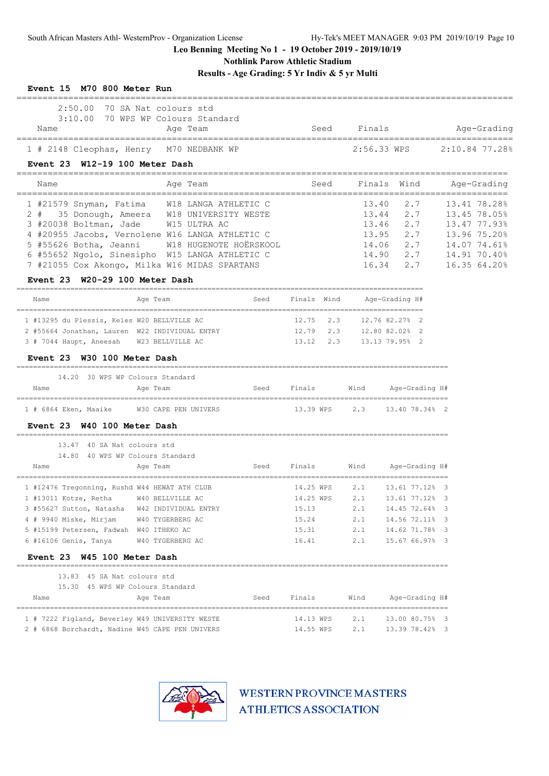**Nothlink Parow Athletic Stadium**

**Results - Age Grading: 5 Yr Indiv & 5 yr Multi**

|                                                                    | 2:50.00 70 SA Nat colours std                                            |      |                                 |        |                          |                              |              |
|--------------------------------------------------------------------|--------------------------------------------------------------------------|------|---------------------------------|--------|--------------------------|------------------------------|--------------|
|                                                                    | 3:10.00 70 WPS WP Colours Standard                                       |      |                                 |        |                          |                              |              |
| Name                                                               | Age Team                                                                 |      | Seed                            | Finals |                          |                              | Age-Grading  |
|                                                                    | 1 # 2148 Cleophas, Henry M70 NEDBANK WP                                  |      |                                 |        | 2:56.33 WPS              | 2:10.84 77.28%               |              |
| Event 23 W12-19 100 Meter Dash                                     |                                                                          |      |                                 |        |                          |                              |              |
| Name                                                               | Age Team                                                                 |      | Seed                            | Finals | Wind                     |                              | Age-Grading  |
|                                                                    | 1 #21579 Snyman, Fatima W18 LANGA ATHLETIC C                             |      |                                 | 13.40  | 2.7                      |                              | 13.41 78.28% |
| $2 \#$                                                             | 35 Donough, Ameera W18 UNIVERSITY WESTE                                  |      |                                 | 13.44  | 2.7                      |                              | 13.45 78.05% |
| 3 #20038 Boltman, Jade                                             | W15 ULTRA AC                                                             |      |                                 | 13.46  | 2.7                      |                              | 13.47 77.93% |
|                                                                    | 4 #20955 Jacobs, Vernolene W16 LANGA ATHLETIC C                          |      |                                 |        | 13.95 2.7                | 13.96 75.20%                 |              |
| 5 #55626 Botha, Jeanni                                             | W18 HUGENOTE HOËRSKOOL<br>6 #55652 Ngolo, Sinesipho W15 LANGA ATHLETIC C |      |                                 | 14.06  | 2.7<br>14.90 2.7         | 14.07 74.61%<br>14.91 70.40% |              |
|                                                                    | 7 #21055 Cox Akongo, Milka W16 MIDAS SPARTANS                            |      |                                 | 16.34  | 2.7                      |                              | 16.35 64.20% |
| Event 23 W20-29 100 Meter Dash                                     |                                                                          |      |                                 |        |                          |                              |              |
| Name                                                               | Age Team                                                                 |      | Seed Finals Wind Age-Grading H# |        |                          |                              |              |
| 1 #13295 du Plessis, Keles W20 BELLVILLE AC                        |                                                                          |      | 12.75 2.3                       |        | 12.76 82.27% 2           |                              |              |
|                                                                    | 2 #55664 Jonathan, Lauren W22 INDIVIDUAL ENTRY                           |      | 12.79 2.3                       |        | 12.80 82.02% 2           |                              |              |
| 3 # 7044 Haupt, Aneesah W23 BELLVILLE AC                           |                                                                          |      | 13.12 2.3                       |        | 13.13 79.95% 2           |                              |              |
| Event 23 W30 100 Meter Dash                                        |                                                                          |      |                                 |        |                          |                              |              |
| 14.20 30 WPS WP Colours Standard                                   |                                                                          |      |                                 |        |                          |                              |              |
| Name                                                               | Age Team                                                                 |      | Seed Finals                     | Wind   | Age-Grading H#           |                              |              |
| 1 # 6864 Eken, Maaike W30 CAPE PEN UNIVERS                         |                                                                          |      | 13.39 WPS 2.3 13.40 78.34% 2    |        |                          |                              |              |
| Event 23 W40 100 Meter Dash<br>=================================== |                                                                          |      |                                 |        |                          |                              |              |
| 13.47 40 SA Nat colours std                                        |                                                                          |      |                                 |        |                          |                              |              |
| 14.80 40 WPS WP Colours Standard                                   |                                                                          |      |                                 |        |                          |                              |              |
| Name                                                               | Age Team                                                                 |      | Seed Finals                     | Wind   | Age-Grading H#           |                              |              |
| 1 #12476 Tregonning, Rushd W44 HEWAT ATH CLUB                      |                                                                          |      | 14.25 WPS                       |        | 2.1 13.61 77.12% 3       |                              |              |
| 1 #13011 Kotze, Retha W40 BELLVILLE AC                             |                                                                          |      | 14.25 WPS 2.1 13.61 77.12% 3    |        |                          |                              |              |
| 3 #55627 Sutton, Natasha W42 INDIVIDUAL ENTRY                      |                                                                          |      | 15.13                           | 2.1    | 14.45 72.64% 3           |                              |              |
| 4 # 9940 Miske, Mirjam W40 TYGERBERG AC                            |                                                                          |      |                                 |        | 15.24 2.1 14.56 72.11% 3 |                              |              |
| 5 #15199 Petersen, Fadwah W40 ITHEKO AC                            |                                                                          |      |                                 |        | 15.31 2.1 14.62 71.78% 3 |                              |              |
| 6 #16106 Genis, Tanya W40 TYGERBERG AC                             |                                                                          |      |                                 |        | 16.41 2.1 15.67 66.97% 3 |                              |              |
| Event 23 W45 100 Meter Dash                                        |                                                                          |      |                                 |        |                          |                              |              |
| 13.83 45 SA Nat colours std                                        |                                                                          |      |                                 |        |                          |                              |              |
| 15.30 45 WPS WP Colours Standard                                   |                                                                          |      |                                 |        |                          |                              |              |
| Name                                                               | Age Team                                                                 | Seed | Finals                          |        | Wind Age-Grading H#      |                              |              |
| 1 # 7222 Figland, Beverley W49 UNIVERSITY WESTE                    |                                                                          |      | 14.13 WPS                       | 2.1    | 13.00 80.75% 3           |                              |              |
| 2 # 6868 Borchardt, Nadine W45 CAPE PEN UNIVERS                    |                                                                          |      | 14.55 WPS 2.1 13.39 78.42% 3    |        |                          |                              |              |

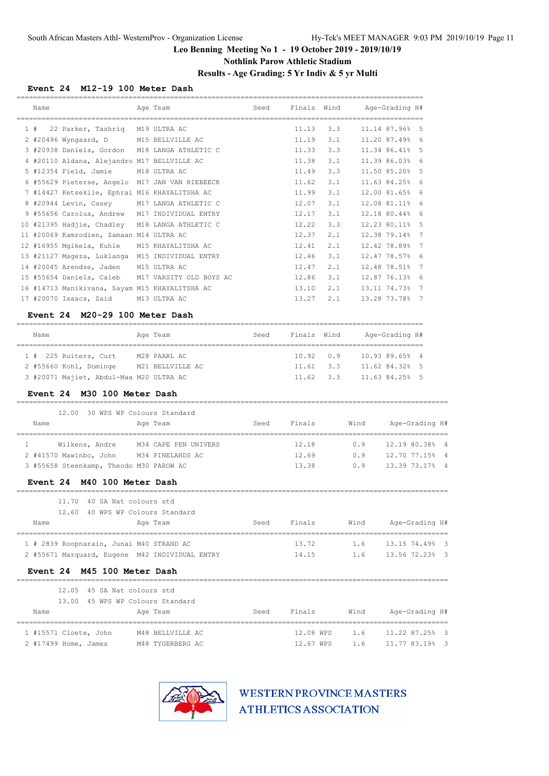## **Nothlink Parow Athletic Stadium**

## **Results - Age Grading: 5 Yr Indiv & 5 yr Multi**

#### **Event 24 M12-19 100 Meter Dash**

| Name                                            | Age Team                | Seed | Finals Wind |     |      | Age-Grading H# |     |
|-------------------------------------------------|-------------------------|------|-------------|-----|------|----------------|-----|
| 22 Parker, Tashriq M19 ULTRA AC<br>1#           |                         |      | 11.13       | 3.3 |      | 11.14 87.96%   | - 5 |
| 2 #20496 Wyngaard, D                            | M15 BELLVILLE AC        |      | 11.19       | 3.1 |      | 11.20 87.49%   | - 6 |
| 3 #20938 Daniels, Gordon M18 LANGA ATHLETIC C   |                         |      | 11.33       | 3.3 |      | 11.34 86.41%   | - 5 |
| 4 #20110 Aldana, Alejandro M17 BELLVILLE AC     |                         |      | 11.38       | 3.1 |      | 11.39 86.03%   | 6   |
| $5$ #12354 Field, Jamie                         | M18 ULTRA AC            |      | 11.49       | 3.3 |      | 11.50 85.20%   | - 5 |
| 6 #55629 Pieterse, Angelo M17 JAN VAN RIEBEECK  |                         |      | 11.62       | 3.1 |      | 11.63 84.25% 6 |     |
| 7 #14427 Ketsekile, Ephrai M16 KHAYALITSHA AC   |                         |      | 11.99       | 3.1 |      | 12.00 81.65%   | 6   |
| 8 #20944 Levin, Casey                           | M17 LANGA ATHLETIC C    |      | 12.07       | 3.1 |      | 12.08 81.11%   | - 6 |
| 9 #55656 Carolus, Andrew M17 INDIVIDUAL ENTRY   |                         |      | 12.17       | 3.1 |      | 12.18 80.44%   | - 6 |
| 10 #21395 Hadjie, Chadley M18 LANGA ATHLETIC C  |                         |      | 12.22       | 3.3 |      | 12.23 80.11%   | 5   |
| 11 #20069 Kamrodien, Zamaan M14 ULTRA AC        |                         |      | 12.37       | 2.1 |      | 12.38 79.14%   | -7  |
| 12 #16955 Mgikela, Kuhle                        | M15 KHAYALITSHA AC      |      | 12.41       | 2.1 |      | 12.42 78.89%   | -7  |
| 13 #21127 Mageza, Luklanga M15 INDIVIDUAL ENTRY |                         |      | 12.46       | 3.1 |      | 12.47 78.57%   | 6   |
| 14 #20045 Arendse, Jaden                        | M15 ULTRA AC            |      | 12.47       | 2.1 |      | 12.48 78.51%   | - 7 |
| 15 #55654 Daniels, Caleb                        | M17 VARSITY OLD BOYS AC |      | 12.86       | 3.1 |      | 12.87 76.13%   | - 6 |
| 16 #14713 Manikivana, Sayam M15 KHAYALITSHA AC  |                         |      | 13.10       | 2.1 |      | 13.11 74.73%   | - 7 |
| 17 #20070 Isaacs, Zaid                          | M13 ULTRA AC            |      | 13.27       | 2.1 |      | 13.28 73.78% 7 |     |
| Event 24 M20-29 100 Meter Dash                  |                         |      |             |     |      |                |     |
| Name                                            | Age Team                | Seed | Finals Wind |     |      | Age-Grading H# |     |
| 1 # 225 Ruiters, Curt                           | M28 PAARL AC            |      | 10.92 0.9   |     |      | 10.93 89.65% 4 |     |
| 2 #55660 Kohl, Dominge                          | M21 BELLVILLE AC        |      | $11.61$ 3.3 |     |      | 11.62 84.32% 5 |     |
| 3 #20071 Majiet, Abdul-Maa M20 ULTRA AC         |                         |      | $11.62$ 3.3 |     |      | 11.63 84.25% 5 |     |
| Event 24 M30 100 Meter Dash                     |                         |      |             |     |      |                |     |
| 12.00 30 WPS WP Colours Standard                |                         |      |             |     |      |                |     |
| Name                                            | Age Team                | Seed | Finals      |     | Wind | Age-Grading H# |     |
| Wilkens, Andre<br>1                             | M34 CAPE PEN UNIVERS    |      | 12.18       |     | 0.9  | 12.19 80.38%   |     |
| 2 #41570 Mawinbo, John                          | M34 PINELANDS AC        |      | 12.69       |     | 0.9  | 12.70 77.15%   |     |
| 3 #55658 Steenkamp, Theodo M30 PAROW AC         |                         |      | 13.38       |     | 0.9  | 13.39 73.17% 4 |     |
| Event 24<br>M40 100 Meter Dash                  |                         |      |             |     |      |                |     |
| 11.70 40 SA Nat colours std                     |                         |      |             |     |      |                |     |
| 12.60 40 WPS WP Colours Standard                |                         |      |             |     |      |                |     |
| Name                                            | Age Team                | Seed | Finals      |     | Wind | Age-Grading H# |     |
| 1 # 2839 Roopnarain, Junai M40 STRAND AC        |                         |      | 13.72       |     | 1.6  | 13.15 74.49% 3 |     |
| 2 #55671 Marquard, Eugene M42 INDIVIDUAL ENTRY  |                         |      | 14.15       |     | 1.6  | 13.56 72.23% 3 |     |
| Event 24 M45 100 Meter Dash                     |                         |      |             |     |      |                |     |
|                                                 |                         |      |             |     |      |                |     |
| 12.05 45 SA Nat colours std                     |                         |      |             |     |      |                |     |
| 13.00 45 WPS WP Colours Standard<br>Name        | Age Team                | Seed | Finals      |     | Wind | Age-Grading H# |     |
| 1 #15571 Cloete, John                           | M48 BELLVILLE AC        |      | 12.08 WPS   |     | 1.6  | 11.22 87.25% 3 |     |
| 2 #17499 Home, James                            | M48 TYGERBERG AC        |      | 12.67 WPS   |     | 1.6  | 11.77 83.19% 3 |     |

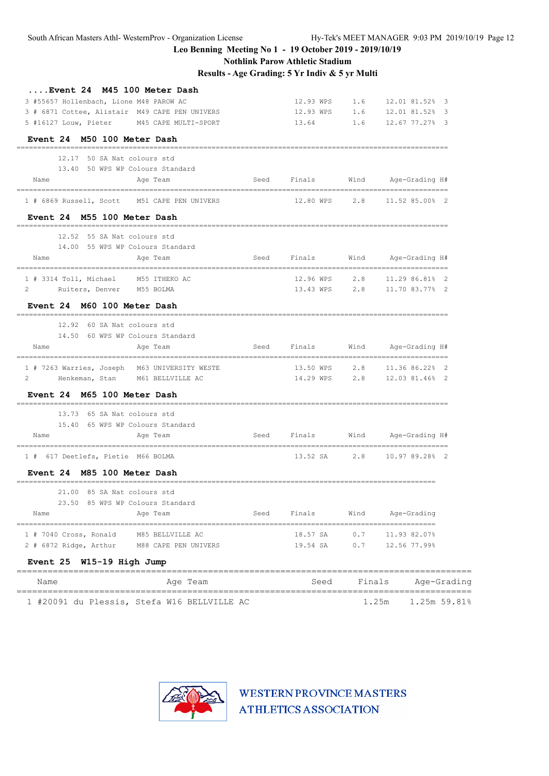|                                                                     | Results - Age Grading: 5 Yr Indiv & 5 yr Multi | <b>Nothlink Parow Athletic Stadium</b> |        |                                   |
|---------------------------------------------------------------------|------------------------------------------------|----------------------------------------|--------|-----------------------------------|
| Event 24 M45 100 Meter Dash                                         |                                                |                                        |        |                                   |
| 3 #55657 Hollenbach, Lione M48 PAROW AC                             |                                                | 12.93 WPS                              | 1.6    | 12.01 81.52%<br>3                 |
| 3 # 6871 Cottee, Alistair M49 CAPE PEN UNIVERS                      |                                                | 12.93 WPS                              | 1.6    | 12.01 81.52%<br>3                 |
| 5 #16127 Louw, Pieter M45 CAPE MULTI-SPORT                          |                                                | 13.64                                  | 1.6    | 12.67 77.27%<br>-3                |
| Event 24 M50 100 Meter Dash<br>____________________________________ |                                                |                                        |        | ================================= |
| 12.17 50 SA Nat colours std                                         |                                                |                                        |        |                                   |
| 13.40 50 WPS WP Colours Standard                                    |                                                |                                        |        |                                   |
| Name<br>Age Team                                                    | Seed                                           | Finals                                 | Wind   | Age-Grading H#                    |
| 1 # 6869 Russell, Scott<br>M51 CAPE PEN UNIVERS                     |                                                | 12.80 WPS                              | 2.8    | 11.52 85.00% 2                    |
| Event 24 M55 100 Meter Dash                                         |                                                |                                        |        |                                   |
| 12.52 55 SA Nat colours std                                         |                                                |                                        |        |                                   |
| 14.00 55 WPS WP Colours Standard                                    |                                                |                                        |        |                                   |
| Name<br>Age Team                                                    | Seed                                           | Finals                                 |        | Wind Age-Grading H#               |
| $1$ # 3314 Toll, Michael<br>M55 ITHEKO AC                           |                                                | 12.96 WPS                              | 2.8    | 11,29 86.81%<br>-2                |
| 2<br>Ruiters, Denver<br>M55 BOLMA                                   |                                                | 13.43 WPS                              | 2.8    | 11.70 83.77% 2                    |
| Event 24 M60 100 Meter Dash                                         |                                                |                                        |        |                                   |
| 12.92 60 SA Nat colours std                                         |                                                |                                        |        |                                   |
| 14.50 60 WPS WP Colours Standard                                    |                                                |                                        |        |                                   |
| Name<br>Age Team                                                    | Seed                                           | Finals                                 | Wind   | Age-Grading H#                    |
| 1 # 7263 Warries, Joseph M63 UNIVERSITY WESTE                       |                                                | 13.50 WPS                              | 2.8    | 11.36 86.22% 2                    |
| 2<br>Henkeman, Stan<br>M61 BELLVILLE AC                             |                                                | 14.29 WPS                              | 2.8    | 12.03 81.46% 2                    |
| Event 24 M65 100 Meter Dash                                         |                                                |                                        |        |                                   |
| 13.73 65 SA Nat colours std                                         |                                                |                                        |        |                                   |
| 15.40 65 WPS WP Colours Standard                                    |                                                |                                        |        |                                   |
| Name<br>Age Team                                                    | Seed                                           | Finals                                 | Wind   | Age-Grading H#                    |
| 617 Deetlefs, Pietie M66 BOLMA<br>1#                                |                                                | 13.52 SA                               | 2.8    | 10.97 89.28% 2                    |
| <b>Event 24</b><br>M85 100 Meter Dash                               |                                                |                                        |        |                                   |
| 21.00 85 SA Nat colours std                                         |                                                |                                        |        |                                   |
| 23.50 85 WPS WP Colours Standard                                    |                                                |                                        |        |                                   |
| Name<br>Age Team                                                    | Seed                                           | Finals                                 | Wind   | Age-Grading                       |
| 1 # 7040 Cross, Ronald<br>M85 BELLVILLE AC                          |                                                | 18.57 SA                               | 0.7    | 11.93 82.07%                      |
| 2 # 6872 Ridge, Arthur M88 CAPE PEN UNIVERS                         |                                                | 19.54 SA                               |        | 0.7 12.56 77.99%                  |
| Event 25 W15-19 High Jump                                           |                                                |                                        |        |                                   |
| Age Team<br>Name                                                    |                                                | Seed                                   | Finals | Age-Grading                       |
| 1 #20091 du Plessis, Stefa W16 BELLVILLE AC                         |                                                |                                        |        | 1.25m<br>1.25m 59.81%             |



**WESTERN PROVINCE MASTERS ATHLETICS ASSOCIATION** 

**Leo Benning Meeting No 1 - 19 October 2019 - 2019/10/19**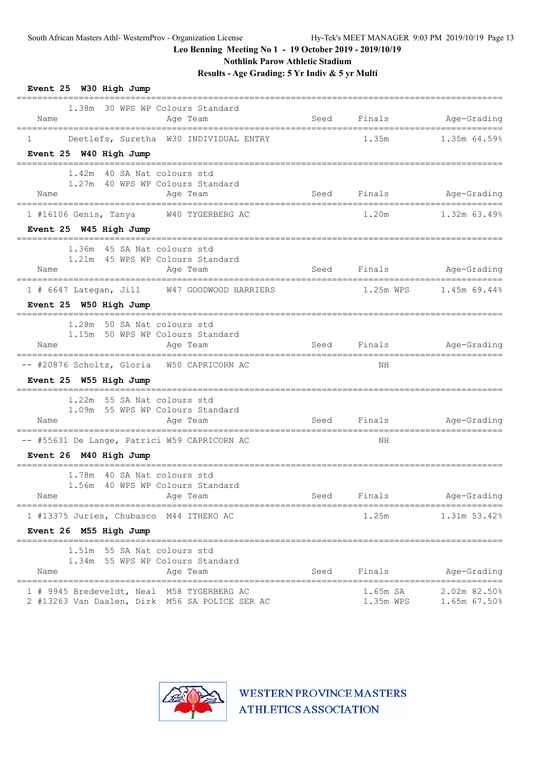**Nothlink Parow Athletic Stadium**

**Results - Age Grading: 5 Yr Indiv & 5 yr Multi**

| Event 25 W30 High Jump                                                                                               |      |                         |                                            |
|----------------------------------------------------------------------------------------------------------------------|------|-------------------------|--------------------------------------------|
| 1.38m 30 WPS WP Colours Standard<br>Name<br>Age Team                                                                 |      | Seed Finals             | Age-Grading                                |
| ================================<br>Deetlefs, Suretha W30 INDIVIDUAL ENTRY<br>$\mathbf{1}$<br>Event 25 W40 High Jump |      | 1.35m                   | $1.35m$ 64.59%                             |
| 1.42m 40 SA Nat colours std<br>1.27m 40 WPS WP Colours Standard<br>Name<br>Age Team                                  |      | Seed Finals Age-Grading |                                            |
| 1 #16106 Genis, Tanya W40 TYGERBERG AC<br>Event 25 W45 High Jump                                                     |      | 1.20m                   | $1.32m$ 63.49%                             |
| 1.36m 45 SA Nat colours std<br>1.21m 45 WPS WP Colours Standard<br>Name<br>Age Team                                  | Seed |                         | Finals Age-Grading                         |
| 1 # 6647 Lategan, Jill W47 GOODWOOD HARRIERS<br>Event 25 W50 High Jump                                               |      |                         |                                            |
| 1.28m 50 SA Nat colours std<br>1.15m 50 WPS WP Colours Standard<br>Name<br>Age Team                                  |      | Seed Finals             | Age-Grading                                |
| -- #20876 Scholtz, Gloria W50 CAPRICORN AC<br>Event 25 W55 High Jump                                                 |      | ΝH                      |                                            |
| 1.22m 55 SA Nat colours std<br>1.09m 55 WPS WP Colours Standard<br>Name<br>Age Team                                  |      | Seed Finals             | Age-Grading                                |
| -- #55631 De Lange, Patrici W59 CAPRICORN AC                                                                         |      | ΝH                      |                                            |
| Event 26 M40 High Jump                                                                                               |      |                         |                                            |
| 1.78m 40 SA Nat colours std<br>1.56m 40 WPS WP Colours Standard<br>Age Team<br>Name                                  | Seed | Finals                  | Age-Grading                                |
| 1 #13375 Juries, Chubasco M44 ITHEKO AC<br>Event 26 M55 High Jump                                                    |      | 1.25m                   | 1.31m 53.42%                               |
| 1.51m 55 SA Nat colours std<br>1.34m 55 WPS WP Colours Standard<br>Age Team<br>Name                                  | Seed | Finals                  | Age-Grading<br>=========================== |
| 1 # 9945 Bredeveldt, Neal M58 TYGERBERG AC<br>2 #13263 Van Daalen, Dirk M56 SA POLICE SER AC                         |      | 1.65m SA<br>1.35m WPS   | 2.02m 82.50%<br>1.65m 67.50%               |

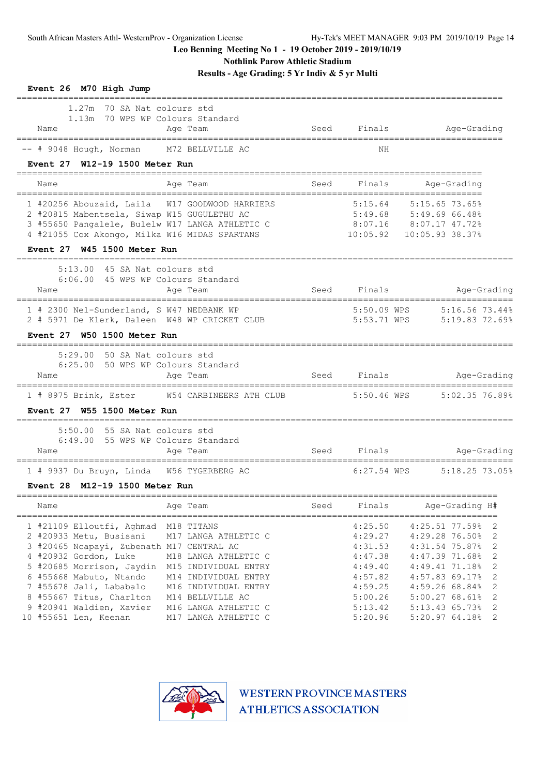**Nothlink Parow Athletic Stadium**

**Results - Age Grading: 5 Yr Indiv & 5 yr Multi**

| Event 26 M70 High Jump                                                                                                                                                                                                                        |      |                                                     |                                                                                                                                                           |
|-----------------------------------------------------------------------------------------------------------------------------------------------------------------------------------------------------------------------------------------------|------|-----------------------------------------------------|-----------------------------------------------------------------------------------------------------------------------------------------------------------|
| 1.27m 70 SA Nat colours std<br>1.13m 70 WPS WP Colours Standard<br>Name<br>Age Team<br>====================================                                                                                                                   | Seed | Finals                                              | Age-Grading                                                                                                                                               |
| -- # 9048 Hough, Norman M72 BELLVILLE AC                                                                                                                                                                                                      |      | ΝH                                                  |                                                                                                                                                           |
| Event 27 W12-19 1500 Meter Run                                                                                                                                                                                                                |      |                                                     |                                                                                                                                                           |
| Name<br>Age Team                                                                                                                                                                                                                              | Seed | Finals                                              | Age-Grading                                                                                                                                               |
| 1 #20256 Abouzaid, Laila W17 GOODWOOD HARRIERS<br>2 #20815 Mabentsela, Siwap W15 GUGULETHU AC<br>3 #55650 Pangalele, Bulelw W17 LANGA ATHLETIC C<br>4 #21055 Cox Akongo, Milka W16 MIDAS SPARTANS                                             |      |                                                     | ---------------------<br>5:15.64 5:15.65 73.65%<br>5:49.68 5:49.69 66.48%<br>8:07.16 8:07.17 47.72%<br>10:05.92  10:05.93  38.37%                         |
| Event 27 W45 1500 Meter Run                                                                                                                                                                                                                   |      |                                                     |                                                                                                                                                           |
| 5:13.00 45 SA Nat colours std<br>6:06.00 45 WPS WP Colours Standard<br>Age Team<br>Name                                                                                                                                                       |      | Seed Finals                                         | Age-Grading                                                                                                                                               |
| 1 # 2300 Nel-Sunderland, S W47 NEDBANK WP<br>2 # 5971 De Klerk, Daleen W48 WP CRICKET CLUB                                                                                                                                                    |      |                                                     | 5:50.09 WPS 5:16.56 73.44%<br>5:53.71 WPS 5:19.83 72.69%                                                                                                  |
| Event 27 W50 1500 Meter Run<br>=========================                                                                                                                                                                                      |      |                                                     |                                                                                                                                                           |
| 5:29.00 50 SA Nat colours std<br>6:25.00 50 WPS WP Colours Standard<br>Name<br>Age Team                                                                                                                                                       |      |                                                     | Seed Finals<br>Age-Grading                                                                                                                                |
| 1 # 8975 Brink, Ester W54 CARBINEERS ATH CLUB 5:50.46 WPS<br>Event 27 W55 1500 Meter Run                                                                                                                                                      |      |                                                     | 5:02.35 76.89%                                                                                                                                            |
| 5:50.00 55 SA Nat colours std<br>6:49.00 55 WPS WP Colours Standard<br>Name<br>Age Team                                                                                                                                                       | Seed | Finals                                              | Age-Grading                                                                                                                                               |
| 1 # 9937 Du Bruyn, Linda W56 TYGERBERG AC                                                                                                                                                                                                     |      | 6:27.54 WPS                                         | 5:18.25 73.05%                                                                                                                                            |
| Event 28 M12-19 1500 Meter Run                                                                                                                                                                                                                |      |                                                     |                                                                                                                                                           |
| ======================<br>Age Team<br>Name                                                                                                                                                                                                    | Seed | Finals                                              | Age-Grading H#                                                                                                                                            |
| 1 #21109 Elloutfi, Aghmad<br>M18 TITANS<br>2 #20933 Metu, Busisani<br>M17 LANGA ATHLETIC C<br>3 #20465 Ncapayi, Zubenath M17 CENTRAL AC<br>4 #20932 Gordon, Luke<br>M18 LANGA ATHLETIC C<br>5 #20685 Morrison, Jaydin<br>M15 INDIVIDUAL ENTRY |      | 4:25.50<br>4:29.27<br>4:31.53<br>4:47.38<br>4:49.40 | =========================<br>2<br>$4:25.51$ 77.59%<br>4:29.28 76.50%<br>2<br>$\mathbf{2}$<br>4:31.54 75.87%<br>2<br>4:47.39 71.68%<br>2<br>4:49.41 71.18% |
| 6 #55668 Mabuto, Ntando<br>M14 INDIVIDUAL ENTRY<br>7 #55678 Jali, Lababalo<br>M16 INDIVIDUAL ENTRY<br>8 #55667 Titus, Charlton<br>M14 BELLVILLE AC                                                                                            |      | 4:57.82<br>4:59.25<br>5:00.26                       | 2<br>4:57.83 69.17%<br>2<br>4:59.26 68.84%<br>$\sqrt{2}$<br>5:00.2768.61                                                                                  |
| 9 #20941 Waldien, Xavier<br>M16 LANGA ATHLETIC C<br>10 #55651 Len, Keenan<br>M17 LANGA ATHLETIC C                                                                                                                                             |      | 5:13.42<br>5:20.96                                  | $\sqrt{2}$<br>5:13.43 65.73%<br>2<br>5:20.97 64.18%                                                                                                       |

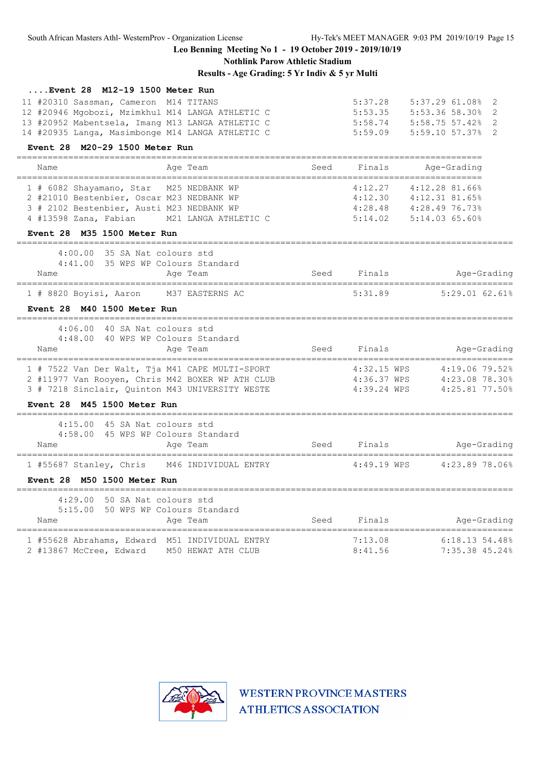South African Masters Athl- WesternProv - Organization License Hy-Tek's MEET MANAGER 9:03 PM 2019/10/19 Page 15

**Leo Benning Meeting No 1 - 19 October 2019 - 2019/10/19**

**Nothlink Parow Athletic Stadium**

**Results - Age Grading: 5 Yr Indiv & 5 yr Multi**

| Event 28 M12-19 1500 Meter Run                                                                                                                            |      |               |                                                       |
|-----------------------------------------------------------------------------------------------------------------------------------------------------------|------|---------------|-------------------------------------------------------|
| 11 #20310 Sassman, Cameron M14 TITANS                                                                                                                     |      | 5:37.28       | 5:37.29 61.08%<br>2                                   |
| 12 #20946 Mgobozi, Mzimkhul M14 LANGA ATHLETIC C                                                                                                          |      |               | 5:53.35 5:53.36 58.30%<br>5:58.74 5:58.75 57.42%<br>2 |
| 13 #20952 Mabentsela, Imang M13 LANGA ATHLETIC C                                                                                                          |      |               | 2                                                     |
| 14 #20935 Langa, Masimbonge M14 LANGA ATHLETIC C                                                                                                          |      | 5:59.09       | 5:59.10 57.37%<br>2                                   |
| Event 28 M20-29 1500 Meter Run                                                                                                                            |      |               |                                                       |
| Name<br>Age Team                                                                                                                                          | Seed | Finals        | Age-Grading                                           |
| 1 # 6082 Shayamano, Star M25 NEDBANK WP                                                                                                                   |      |               |                                                       |
| 2 #21010 Bestenbier, Oscar M23 NEDBANK WP                                                                                                                 |      |               | 4:12.27 4:12.28 81.66%<br>4:12.30 4:12.31 81.65%      |
| 3 # 2102 Bestenbier, Austi M23 NEDBANK WP                                                                                                                 |      |               | 4:28.48 4:28.49 76.73%                                |
| 4 #13598 Zana, Fabian M21 LANGA ATHLETIC C                                                                                                                |      |               | 5:14.02 5:14.03 65.60%                                |
| Event 28 M35 1500 Meter Run                                                                                                                               |      |               |                                                       |
| 4:00.00 35 SA Nat colours std                                                                                                                             |      |               |                                                       |
| 4:41.00 35 WPS WP Colours Standard                                                                                                                        |      |               |                                                       |
| Name<br>Age Team                                                                                                                                          | Seed | Finals        | Age-Grading                                           |
| 1 # 8820 Boyisi, Aaron M37 EASTERNS AC                                                                                                                    |      | 5:31.89       | 5:29.0162.618                                         |
| Event 28 M40 1500 Meter Run                                                                                                                               |      |               |                                                       |
| 4:06.00 40 SA Nat colours std                                                                                                                             |      |               |                                                       |
| 4:48.00 40 WPS WP Colours Standard                                                                                                                        |      |               |                                                       |
| Name<br>Age Team                                                                                                                                          | Seed | Finals        | Age-Grading                                           |
|                                                                                                                                                           |      |               |                                                       |
| 1 # 7522 Van Der Walt, Tja M41 CAPE MULTI-SPORT 4:32.15 WPS 4:19.06 79.52%<br>2 #11977 Van Rooyen, Chris M42 BOXER WP ATH CLUB 4:36.37 WPS 4:23.08 78.30% |      |               |                                                       |
| 3 # 7218 Sinclair, Quinton M43 UNIVERSITY WESTE                                                                                                           |      | 4:39.24 WPS   | 4:25.81 77.50%                                        |
| Event 28 M45 1500 Meter Run                                                                                                                               |      |               |                                                       |
| --------------------------------------<br>4:15.00 45 SA Nat colours std                                                                                   |      |               |                                                       |
| 4:58.00 45 WPS WP Colours Standard                                                                                                                        |      |               |                                                       |
| Age Team<br>Name                                                                                                                                          | Seed | Finals        | Age-Grading                                           |
|                                                                                                                                                           |      |               |                                                       |
| 1 #55687 Stanley, Chris M46 INDIVIDUAL ENTRY                                                                                                              |      | $4:49.19$ WPS | 4:23.89 78.06%                                        |
| Event 28 M50 1500 Meter Run<br>-----------------                                                                                                          |      |               |                                                       |
| 4:29.00 50 SA Nat colours std                                                                                                                             |      |               |                                                       |
| 5:15.00 50 WPS WP Colours Standard                                                                                                                        |      |               |                                                       |
| Age Team<br>Name                                                                                                                                          | Seed | Finals        | Age-Grading                                           |
| 1 #55628 Abrahams, Edward M51 INDIVIDUAL ENTRY                                                                                                            |      | 7:13.08       | 6:18.1354.48%                                         |
| 2 #13867 McCree, Edward M50 HEWAT ATH CLUB                                                                                                                |      | 8:41.56       | 7:35.38 45.24%                                        |

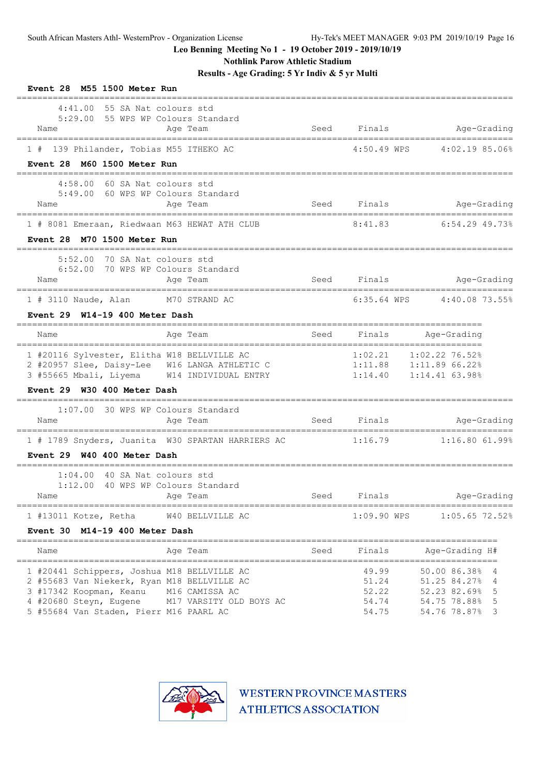**Nothlink Parow Athletic Stadium**

**Results - Age Grading: 5 Yr Indiv & 5 yr Multi**

| Event 28 M55 1500 Meter Run                                                                                                                                                                                                       |                |                                  |                                                                                                  |
|-----------------------------------------------------------------------------------------------------------------------------------------------------------------------------------------------------------------------------------|----------------|----------------------------------|--------------------------------------------------------------------------------------------------|
| $4:41.00$ 55 SA Nat colours std<br>5:29.00 55 WPS WP Colours Standard<br>Name<br>Age Team                                                                                                                                         | Seed           | Finals                           | Age-Grading                                                                                      |
| 1 # 139 Philander, Tobias M55 ITHEKO AC                                                                                                                                                                                           |                | $4:50.49$ WPS                    | 4:02.19 85.06%                                                                                   |
| Event 28 M60 1500 Meter Run                                                                                                                                                                                                       |                |                                  |                                                                                                  |
| 4:58.00 60 SA Nat colours std<br>5:49.00 60 WPS WP Colours Standard<br>Age Team<br>Name                                                                                                                                           |                | Seed Finals                      | Age-Grading                                                                                      |
| 1 # 8081 Emeraan, Riedwaan M63 HEWAT ATH CLUB                                                                                                                                                                                     |                | 8:41.83                          | $6:54.29$ 49.73%                                                                                 |
| Event 28 M70 1500 Meter Run                                                                                                                                                                                                       |                |                                  |                                                                                                  |
| 5:52.00 70 SA Nat colours std<br>6:52.00 70 WPS WP Colours Standard                                                                                                                                                               |                |                                  |                                                                                                  |
| Age Team<br>Name                                                                                                                                                                                                                  | Seed           | Finals                           | Age-Grading                                                                                      |
| 1 # 3110 Naude, Alan M70 STRAND AC                                                                                                                                                                                                |                | $6:35.64$ WPS                    | $4:40.08$ 73.55%                                                                                 |
| Event 29 W14-19 400 Meter Dash                                                                                                                                                                                                    |                |                                  |                                                                                                  |
| Age Team<br>Name                                                                                                                                                                                                                  | Seed           | Finals                           | Age-Grading                                                                                      |
| 1 #20116 Sylvester, Elitha W18 BELLVILLE AC<br>2 #20957 Slee, Daisy-Lee W16 LANGA ATHLETIC C<br>3 #55665 Mbali, Liyema W14 INDIVIDUAL ENTRY<br>Event 29 W30 400 Meter Dash                                                        |                |                                  | 1:02.21 1:02.22 76.52%<br>$1:11.88$ $1:11.8966.22%$<br>$1:14.40$ $1:14.41$ 63.98%                |
| 1:07.00<br>30 WPS WP Colours Standard<br>Name<br>Age Team                                                                                                                                                                         | ============== | Seed Finals                      | Age-Grading                                                                                      |
| 1 # 1789 Snyders, Juanita W30 SPARTAN HARRIERS AC<br>Event 29 W40 400 Meter Dash                                                                                                                                                  |                | 1:16.79                          | $1:16.80$ $61.99%$                                                                               |
| ------------------------------------<br>$1:04.00$ 40 SA Nat colours std<br>1:12.00 40 WPS WP Colours Standard<br>Name Age Team                                                                                                    |                | Seed Finals                      | Age-Grading                                                                                      |
| 1 #13011 Kotze, Retha W40 BELLVILLE AC                                                                                                                                                                                            |                | $1:09.90$ WPS                    | $1:05.65$ 72.52%                                                                                 |
| Event 30 M14-19 400 Meter Dash                                                                                                                                                                                                    |                |                                  |                                                                                                  |
| Age Team<br>Name                                                                                                                                                                                                                  | Seed           | Finals                           | Age-Grading H#                                                                                   |
| 1 #20441 Schippers, Joshua M18 BELLVILLE AC<br>2 #55683 Van Niekerk, Ryan M18 BELLVILLE AC<br>3 #17342 Koopman, Keanu M16 CAMISSA AC<br>4 #20680 Steyn, Eugene M17 VARSITY OLD BOYS AC<br>5 #55684 Van Staden, Pierr M16 PAARL AC |                | 49.99<br>52.22<br>54.74<br>54.75 | 50.00 86.38%<br>51.24 51.25 84.27% 4<br>5<br>52.23 82.69%<br>54.75 78.88%<br>5<br>54.76 78.87% 3 |

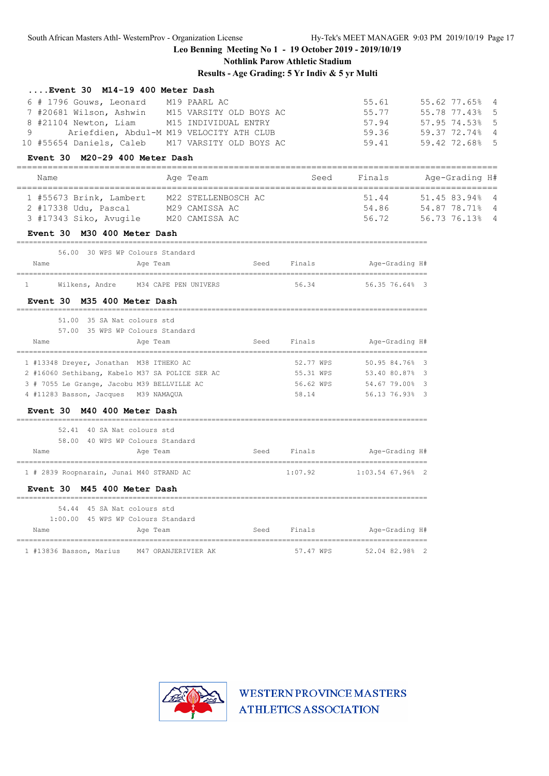**Nothlink Parow Athletic Stadium**

### **Results - Age Grading: 5 Yr Indiv & 5 yr Multi**

| $\ldots$ Event 30 $M14-19$ 400 Meter Dash        |                         |       |                |
|--------------------------------------------------|-------------------------|-------|----------------|
| 6 # 1796 Gouws, Leonard M19 PAARL AC             |                         | 55.61 | 55.62 77.65% 4 |
| 7 #20681 Wilson, Ashwin                          | M15 VARSITY OLD BOYS AC | 55.77 | 55.78 77.43% 5 |
| 8 #21104 Newton, Liam M15 INDIVIDUAL ENTRY       |                         | 57.94 | 57.95 74.53% 5 |
| 9 Ariefdien, Abdul-M M19 VELOCITY ATH CLUB       |                         | 59.36 | 59.37 72.74% 4 |
| 10 #55654 Daniels, Caleb M17 VARSITY OLD BOYS AC |                         | 59.41 | 59.42 72.68% 5 |

#### **Event 30 M20-29 400 Meter Dash**

| Name                                                                      | Age Team                                                | Seed | Finals                  | Age-Grading H#                                     |  |
|---------------------------------------------------------------------------|---------------------------------------------------------|------|-------------------------|----------------------------------------------------|--|
| 1 #55673 Brink, Lambert<br>2 #17338 Udu, Pascal<br>3 #17343 Siko, Avugile | M22 STELLENBOSCH AC<br>M29 CAMISSA AC<br>M20 CAMISSA AC |      | 51.44<br>54.86<br>56.72 | 51.45 83.94% 4<br>54.87 78.71% 4<br>56.73 76.13% 4 |  |

#### **Event 30 M30 400 Meter Dash**

|      |                | 56.00 30 WPS WP Colours Standard |                      |      |        |                |  |
|------|----------------|----------------------------------|----------------------|------|--------|----------------|--|
| Name |                | Age Team                         |                      | Seed | Finals | Age-Grading H# |  |
|      |                |                                  |                      |      |        |                |  |
|      | Wilkens, Andre |                                  | M34 CAPE PEN UNIVERS |      | 56.34  | 56.35 76.64% 3 |  |

### **Event 30 M35 400 Meter Dash**

| 51.00<br>35 SA Nat colours std<br>57.00 35 WPS WP Colours Standard |      |           |                              |
|--------------------------------------------------------------------|------|-----------|------------------------------|
| Name<br>Age Team                                                   | Seed | Finals    | Age-Grading H#               |
| 1 #13348 Dreyer, Jonathan M38 ITHEKO AC                            |      | 52.77 WPS | 50.95 84.76% 3               |
| 2 #16060 Sethibang, Kabelo M37 SA POLICE SER AC                    |      | 55.31 WPS | 53.40 80.87% 3               |
| 3 # 7055 Le Grange, Jacobu M39 BELLVILLE AC                        |      | 56.62 WPS | 54.67 79.00% 3               |
| 4 #11283 Basson, Jacques M39 NAMAQUA                               |      | 58.14     | 56.13 76.93% 3               |
| Event 30 M40 400 Meter Dash                                        |      |           |                              |
| 52.41<br>40 SA Nat colours std                                     |      |           |                              |
| 58.00<br>40 WPS WP Colours Standard                                |      |           |                              |
| Name<br>Age Team                                                   | Seed | Finals    | Age-Grading H#               |
| 1 # 2839 Roopnarain, Junai M40 STRAND AC                           |      |           | $1:07.92$ $1:03.54$ 67.96% 2 |
| Event 30<br>M45 400 Meter Dash                                     |      |           |                              |
| 45 SA Nat colours std<br>54.44                                     |      |           |                              |
| 1:00.00 45 WPS WP Colours Standard                                 |      |           |                              |
| Age Team<br>Name                                                   | Seed | Finals    | Age-Grading H#               |
| 1 #13836 Basson, Marius M47 ORANJERIVIER AK                        |      | 57.47 WPS | 52.04 82.98% 2               |

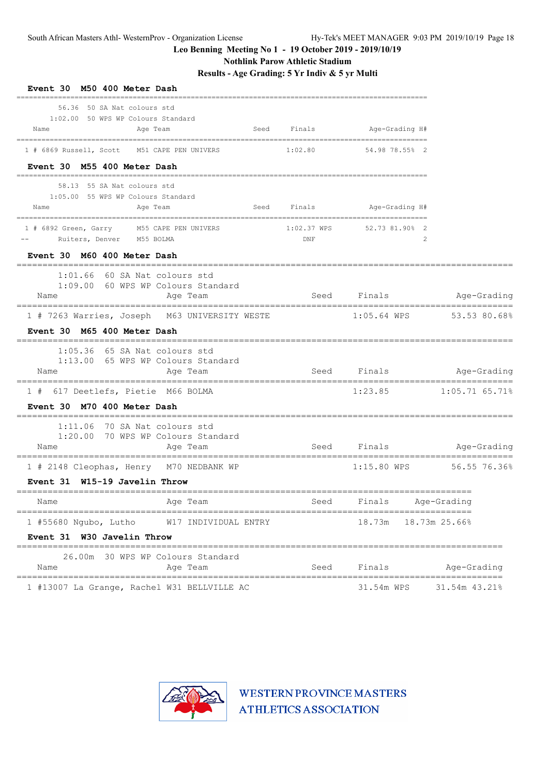**Nothlink Parow Athletic Stadium**

**Results - Age Grading: 5 Yr Indiv & 5 yr Multi**

| Event 30 M50 400 Meter Dash                                                                                                       |                               |                |                          |
|-----------------------------------------------------------------------------------------------------------------------------------|-------------------------------|----------------|--------------------------|
| 56.36 50 SA Nat colours std<br>1:02.00 50 WPS WP Colours Standard<br>Name<br>Age Team                                             | Seed Finals                   | Age-Grading H# |                          |
| 1 # 6869 Russell, Scott M51 CAPE PEN UNIVERS<br>Event 30 M55 400 Meter Dash                                                       | 1:02.80                       | 54.98 78.55% 2 |                          |
| 58.13 55 SA Nat colours std<br>1:05.00 55 WPS WP Colours Standard<br>Name<br>Age Team                                             | Seed Finals                   | Age-Grading H# |                          |
| 1 # 6892 Green, Garry M55 CAPE PEN UNIVERS 1:02.37 WPS 52.73 81.90% 2<br>Ruiters, Denver M55 BOLMA<br>Event 30 M60 400 Meter Dash | DNF                           |                | 2                        |
| $1:01.66$ 60 SA Nat colours std<br>1:09.00 60 WPS WP Colours Standard<br>Name<br>Age Team                                         | Seed Finals                   |                | Age-Grading              |
| 1 # 7263 Warries, Joseph M63 UNIVERSITY WESTE<br>Event 30 M65 400 Meter Dash                                                      |                               |                | 1:05.64 WPS 53.53 80.68% |
| $1:05.36$ 65 SA Nat colours std<br>1:13.00 65 WPS WP Colours Standard<br>Age Team<br>Name                                         | Seed Finals                   |                | Age-Grading              |
| 617 Deetlefs, Pietie M66 BOLMA<br>1#<br>Event 30 M70 400 Meter Dash                                                               |                               | 1:23.85        | $1:05.71$ 65.71%         |
| $1:11.06$ 70 SA Nat colours std<br>1:20.00 70 WPS WP Colours Standard<br>Age Team<br>Name                                         | Seed Finals                   |                | Age-Grading              |
| 1 # 2148 Cleophas, Henry M70 NEDBANK WP<br>Event 31 W15-19 Javelin Throw                                                          |                               | 1:15.80 WPS    | 56.55 76.36%             |
| Age Team<br>Name                                                                                                                  | Seed                          | Finals         | Age-Grading              |
| ===========================<br>1 #55680 Ngubo, Lutho<br>W17 INDIVIDUAL ENTRY<br>Event 31 W30 Javelin Throw                        | ============================= | 18.73m         | 18.73m 25.66%            |
| 26.00m 30 WPS WP Colours Standard<br>Name<br>Age Team                                                                             | Seed                          | Finals         | Age-Grading              |
| 1 #13007 La Grange, Rachel W31 BELLVILLE AC                                                                                       |                               | 31.54m WPS     | 31.54m 43.21%            |

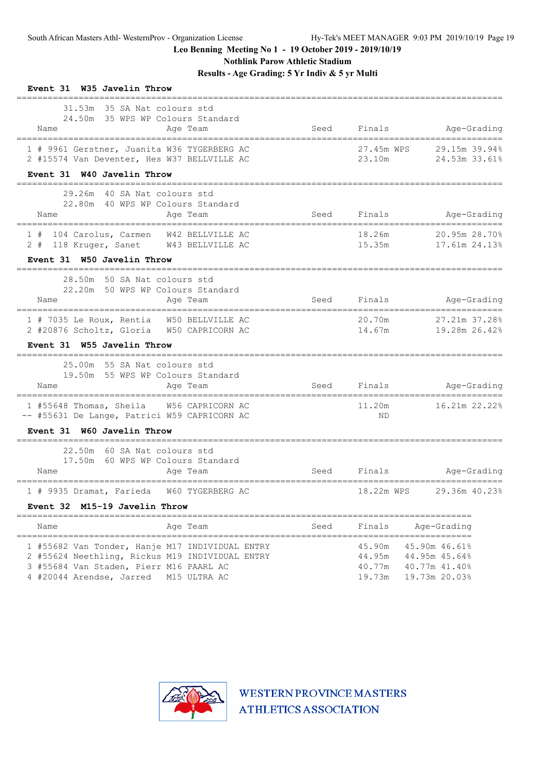**Nothlink Parow Athletic Stadium**

**Results - Age Grading: 5 Yr Indiv & 5 yr Multi**

| Event 31 W35 Javelin Throw<br>==========                                                                                                                                                  |      |                                      |                                                                  |
|-------------------------------------------------------------------------------------------------------------------------------------------------------------------------------------------|------|--------------------------------------|------------------------------------------------------------------|
| 31.53m 35 SA Nat colours std<br>24.50m 35 WPS WP Colours Standard<br>Age Team<br>Name                                                                                                     | Seed | Finals                               | Age-Grading                                                      |
| 1 # 9961 Gerstner, Juanita W36 TYGERBERG AC<br>2 #15574 Van Deventer, Hes W37 BELLVILLE AC<br>Event 31 W40 Javelin Throw                                                                  |      | 27.45m WPS<br>23.10m                 | 29.15m 39.94%<br>24.53m 33.61%                                   |
| 29.26m 40 SA Nat colours std<br>22.80m 40 WPS WP Colours Standard<br>Age Team<br>Name                                                                                                     | Seed | Finals                               | Age-Grading                                                      |
| 104 Carolus, Carmen W42 BELLVILLE AC<br>1#<br>2 # 118 Kruger, Sanet W43 BELLVILLE AC<br>Event 31 W50 Javelin Throw                                                                        |      | 18.26m<br>15.35m                     | 20.95m 28.70%<br>17.61m 24.138                                   |
| 28.50m 50 SA Nat colours std<br>22.20m 50 WPS WP Colours Standard<br>Age Team<br>Name                                                                                                     |      | Seed Finals                          | Age-Grading                                                      |
| 1 # 7035 Le Roux, Rentia W50 BELLVILLE AC<br>2 #20876 Scholtz, Gloria W50 CAPRICORN AC<br>Event 31 W55 Javelin Throw                                                                      |      | 20.70m<br>14.67m                     | 27.21m 37.28%<br>19.28m 26.42%                                   |
| --------------------------<br>25.00m 55 SA Nat colours std<br>19.50m 55 WPS WP Colours Standard<br>Name<br>Age Team                                                                       |      | Seed Finals                          | Age-Grading                                                      |
| =================================<br>1 #55648 Thomas, Sheila W56 CAPRICORN AC<br>-- #55631 De Lange, Patrici W59 CAPRICORN AC<br>Event 31 W60 Javelin Throw                               |      | 11.20m<br>ND                         | 16.21m 22.22%                                                    |
| -----------------<br>22.50m 60 SA Nat colours std<br>17.50m 60 WPS WP Colours Standard<br>Name<br>Age Team                                                                                | Seed |                                      | Finals Age-Grading                                               |
| 1 # 9935 Dramat, Farieda W60 TYGERBERG AC<br>Event 32 M15-19 Javelin Throw                                                                                                                |      | 18.22m WPS                           | 29.36m 40.23%                                                    |
| ======<br>Age Team<br>Name                                                                                                                                                                | Seed | Finals                               | Age-Grading                                                      |
| 1 #55682 Van Tonder, Hanje M17 INDIVIDUAL ENTRY<br>2 #55624 Neethling, Rickus M19 INDIVIDUAL ENTRY<br>3 #55684 Van Staden, Pierr M16 PAARL AC<br>4 #20044 Arendse, Jarred<br>M15 ULTRA AC |      | 45.90m<br>44.95m<br>40.77m<br>19.73m | 45.90m 46.61%<br>44.95m 45.64%<br>40.77m 41.40%<br>19.73m 20.03% |

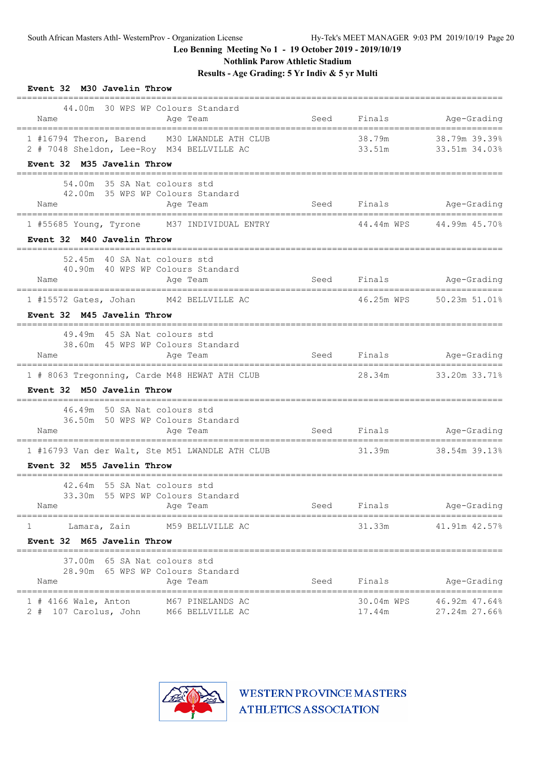**Nothlink Parow Athletic Stadium**

**Results - Age Grading: 5 Yr Indiv & 5 yr Multi**

| Event 32 M30 Javelin Throw                                                                 |      |                      |                                |
|--------------------------------------------------------------------------------------------|------|----------------------|--------------------------------|
| 44.00m 30 WPS WP Colours Standard<br>Name<br>Age Team                                      | Seed | Finals               | Age-Grading                    |
| 1 #16794 Theron, Barend M30 LWANDLE ATH CLUB<br>2 # 7048 Sheldon, Lee-Roy M34 BELLVILLE AC |      | 38.79m<br>33.51m     | 38.79m 39.39%<br>33.51m 34.03% |
| Event 32 M35 Javelin Throw<br>----------------------------------                           |      |                      |                                |
| 54.00m 35 SA Nat colours std<br>42.00m 35 WPS WP Colours Standard<br>Age Team<br>Name      |      |                      | Seed Finals Age-Grading        |
| 1 #55685 Young, Tyrone M37 INDIVIDUAL ENTRY                                                |      |                      | 44.44m WPS 44.99m 45.70%       |
| Event 32 M40 Javelin Throw                                                                 |      |                      |                                |
| 52.45m 40 SA Nat colours std<br>40.90m 40 WPS WP Colours Standard<br>Name<br>Age Team      |      |                      | Seed Finals Age-Grading        |
|                                                                                            |      |                      |                                |
| 1 #15572 Gates, Johan M42 BELLVILLE AC<br>Event 32 M45 Javelin Throw                       |      |                      | 46.25m WPS 50.23m 51.01%       |
|                                                                                            |      |                      |                                |
| 49.49m 45 SA Nat colours std<br>38.60m 45 WPS WP Colours Standard                          |      |                      |                                |
| Aqe Team<br>Name                                                                           |      |                      | Seed Finals Age-Grading        |
| 1 # 8063 Tregonning, Carde M48 HEWAT ATH CLUB<br>Event 32 M50 Javelin Throw                |      | 28.34m               | 33.20m 33.71%                  |
| 46.49m 50 SA Nat colours std<br>36.50m 50 WPS WP Colours Standard<br>Name<br>Age Team      |      |                      | Seed Finals Age-Grading        |
| 1 #16793 Van der Walt, Ste M51 LWANDLE ATH CLUB                                            |      |                      | $31.39m$ $38.54m$ $39.13%$     |
| Event 32 M55 Javelin Throw                                                                 |      |                      |                                |
| 42.64m 55 SA Nat colours std<br>33.30m 55 WPS WP Colours Standard                          |      |                      |                                |
| Age Team<br>Name                                                                           | Seed | Finals               | Age-Grading                    |
| Lamara, Zain M59 BELLVILLE AC<br>$\mathbf{1}$                                              |      | 31.33m               | 41.91m 42.57%                  |
| Event 32 M65 Javelin Throw                                                                 |      |                      |                                |
| 37.00m 65 SA Nat colours std                                                               |      |                      |                                |
| 28.90m 65 WPS WP Colours Standard<br>Name<br>Age Team                                      | Seed | Finals               | Age-Grading                    |
| $1$ # 4166 Wale, Anton<br>M67 PINELANDS AC<br>2 # 107 Carolus, John M66 BELLVILLE AC       |      | 30.04m WPS<br>17.44m | 46.92m 47.64%<br>27.24m 27.66% |

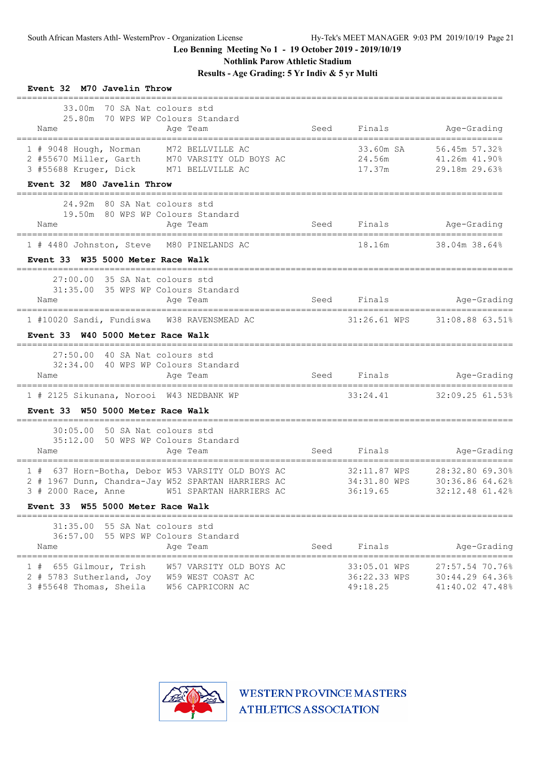**Nothlink Parow Athletic Stadium**

**Results - Age Grading: 5 Yr Indiv & 5 yr Multi**

| Event 32 M70 Javelin Throw                                                                                                                                        |      |                                          |                                                       |
|-------------------------------------------------------------------------------------------------------------------------------------------------------------------|------|------------------------------------------|-------------------------------------------------------|
| 33.00m 70 SA Nat colours std<br>25.80m 70 WPS WP Colours Standard<br>Name<br>Age Team                                                                             | Seed | Finals                                   | Age-Grading                                           |
| 1 # 9048 Hough, Norman M72 BELLVILLE AC<br>2 #55670 Miller, Garth M70 VARSITY OLD BOYS AC<br>3 #55688 Kruger, Dick M71 BELLVILLE AC<br>Event 32 M80 Javelin Throw |      | 33.60m SA<br>24.56m<br>17.37m            | 56.45m 57.32%<br>41.26m 41.90%<br>29.18m 29.63%       |
| 24.92m 80 SA Nat. colours std<br>19.50m 80 WPS WP Colours Standard<br>Age Team<br>Name                                                                            | Seed | Finals                                   | Age-Grading                                           |
| 1 # 4480 Johnston, Steve M80 PINELANDS AC                                                                                                                         |      | 18.16m                                   | 38.04m 38.64%                                         |
| Event 33 W35 5000 Meter Race Walk                                                                                                                                 |      |                                          |                                                       |
| 27:00.00 35 SA Nat colours std<br>31:35.00 35 WPS WP Colours Standard<br>Age Team<br>Name                                                                         |      | Seed Finals                              | Age-Grading                                           |
| 1 #10020 Sandi, Fundiswa W38 RAVENSMEAD AC<br>Event 33 W40 5000 Meter Race Walk                                                                                   |      | 31:26.61 WPS                             | 31:08.88 63.51%                                       |
| 27:50.00 40 SA Nat colours std<br>32:34.00 40 WPS WP Colours Standard<br>Age Team<br>Name                                                                         |      | Seed Finals                              | Age-Grading                                           |
| 1 # 2125 Sikunana, Norooi W43 NEDBANK WP                                                                                                                          |      | 33:24.41                                 | 32:09.25 61.53%                                       |
| Event 33 W50 5000 Meter Race Walk                                                                                                                                 |      |                                          |                                                       |
| 30:05.00 50 SA Nat colours std<br>35:12.00 50 WPS WP Colours Standard<br>Name<br>Age Team                                                                         | Seed | Finals                                   | Age-Grading                                           |
| 1 # 637 Horn-Botha, Debor W53 VARSITY OLD BOYS AC<br>2 # 1967 Dunn, Chandra-Jay W52 SPARTAN HARRIERS AC<br>3 # 2000 Race, Anne W51 SPARTAN HARRIERS AC            |      | 32:11.87 WPS<br>34:31.80 WPS<br>36:19.65 | 28:32.80 69.30%<br>30:36.86 64.62%<br>32:12.48 61.42% |
| Event 33 W55 5000 Meter Race Walk                                                                                                                                 |      |                                          |                                                       |
| 31:35.00 55 SA Nat colours std<br>36:57.00 55 WPS WP Colours Standard<br>Age Team<br>Name                                                                         | Seed | Finals                                   | Age-Grading                                           |
| 1 # 655 Gilmour, Trish<br>W57 VARSITY OLD BOYS AC<br>2 # 5783 Sutherland, Joy<br>W59 WEST COAST AC<br>3 #55648 Thomas, Sheila<br>W56 CAPRICORN AC                 |      | 33:05.01 WPS<br>36:22.33 WPS<br>49:18.25 | 27:57.54 70.76%<br>30:44.29 64.36%<br>41:40.02 47.48% |

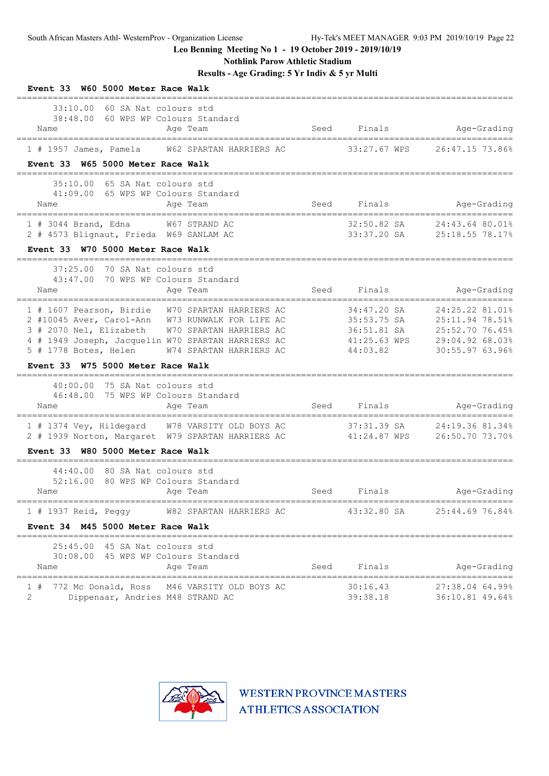**Nothlink Parow Athletic Stadium**

**Results - Age Grading: 5 Yr Indiv & 5 yr Multi**

| Event 33 W60 5000 Meter Race Walk                                                                                                                                                                                                                                       |      |                                                                       |                                                                                             |
|-------------------------------------------------------------------------------------------------------------------------------------------------------------------------------------------------------------------------------------------------------------------------|------|-----------------------------------------------------------------------|---------------------------------------------------------------------------------------------|
| 33:10.00<br>60 SA Nat colours std<br>38:48.00 60 WPS WP Colours Standard<br>Name<br>Age Team                                                                                                                                                                            | Seed | Finals                                                                | Age-Grading                                                                                 |
| W62 SPARTAN HARRIERS AC<br>$1$ # 1957 James, Pamela<br>Event 33 W65 5000 Meter Race Walk                                                                                                                                                                                |      | 33:27.67 WPS                                                          | 26:47.15 73.86%                                                                             |
| 35:10.00<br>65 SA Nat colours std<br>41:09.00 65 WPS WP Colours Standard<br>Name<br>Age Team                                                                                                                                                                            | Seed | Finals                                                                | Age-Grading                                                                                 |
| $1$ # 3044 Brand, Edna<br>W67 STRAND AC<br>2 # 4573 Blignaut, Frieda W69 SANLAM AC<br>Event 33 W70 5000 Meter Race Walk                                                                                                                                                 |      | 32:50.82 SA                                                           | 24:43.64 80.01%<br>33:37.20 SA 25:18.55 78.17%                                              |
| 37:25.00 70 SA Nat colours std<br>43:47.00 70 WPS WP Colours Standard<br>Age Team<br>Name                                                                                                                                                                               | Seed | Finals                                                                | Age-Grading<br>$=====$                                                                      |
| 1 # 1607 Pearson, Birdie<br>W70 SPARTAN HARRIERS AC<br>2 #10045 Aver, Carol-Ann W73 RUNWALK FOR LIFE AC<br>3 # 2070 Nel, Elizabeth<br>W70 SPARTAN HARRIERS AC<br>4 # 1949 Joseph, Jacquelin W70 SPARTAN HARRIERS AC<br>5 # 1778 Botes, Helen<br>W74 SPARTAN HARRIERS AC |      | 34:47.20 SA<br>35:53.75 SA<br>36:51.81 SA<br>41:25.63 WPS<br>44:03.82 | 24:25.22 81.01%<br>25:11.94 78.51%<br>25:52.70 76.45%<br>29:04.92 68.03%<br>30:55.97 63.96% |
| W75 5000 Meter Race Walk<br>Event 33                                                                                                                                                                                                                                    |      |                                                                       |                                                                                             |
| 40:00.00 75 SA Nat colours std<br>46:48.00 75 WPS WP Colours Standard<br>Name<br>Age Team                                                                                                                                                                               | Seed | Finals                                                                | Age-Grading                                                                                 |
| 1 # 1374 Vey, Hildegard W78 VARSITY OLD BOYS AC<br>2 # 1939 Norton, Margaret W79 SPARTAN HARRIERS AC                                                                                                                                                                    |      | 37:31.39 SA<br>41:24.87 WPS                                           | 24:19.36 81.34%<br>26:50.70 73.70%                                                          |
| Event 33 W80 5000 Meter Race Walk                                                                                                                                                                                                                                       |      |                                                                       |                                                                                             |
| 44:40.00<br>80 SA Nat colours std<br>80 WPS WP Colours Standard<br>52:16.00<br>Name<br>Age Team                                                                                                                                                                         | Seed | Finals                                                                | Age-Grading                                                                                 |
| $1$ # 1937 Reid, Peggy<br>W82 SPARTAN HARRIERS AC                  43:32.80 SA        25:44.69 76.84%                                                                                                                                                                   |      |                                                                       |                                                                                             |
| Event 34 M45 5000 Meter Race Walk                                                                                                                                                                                                                                       |      |                                                                       |                                                                                             |
| 25:45.00 45 SA Nat colours std<br>30:08.00 45 WPS WP Colours Standard<br>Name<br>Age Team                                                                                                                                                                               |      | Seed Finals                                                           | Age-Grading                                                                                 |
| 1 # 772 Mc Donald, Ross M46 VARSITY OLD BOYS AC<br>2<br>Dippenaar, Andries M48 STRAND AC                                                                                                                                                                                |      | 30:16.43<br>39:38.18                                                  | 27:38.04 64.99%<br>36:10.81 49.64%                                                          |

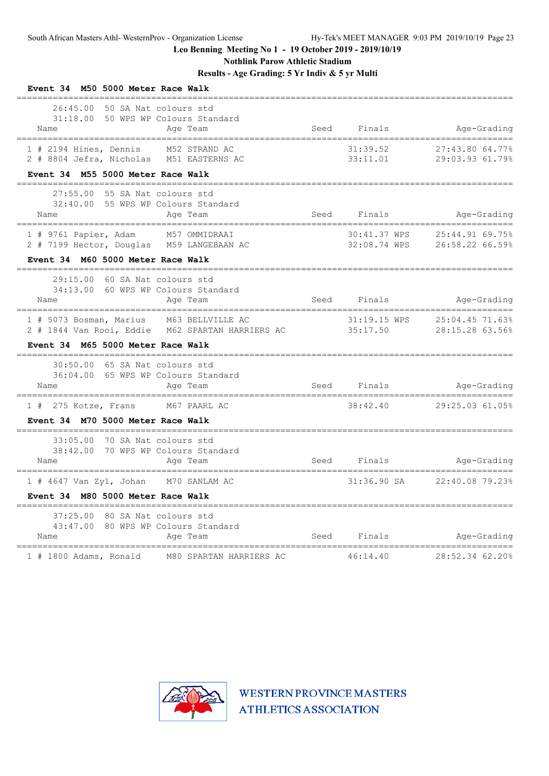**Nothlink Parow Athletic Stadium**

**Results - Age Grading: 5 Yr Indiv & 5 yr Multi**

| Event 34 M50 5000 Meter Race Walk                                                            |      |              |                                                      |
|----------------------------------------------------------------------------------------------|------|--------------|------------------------------------------------------|
| 26:45.00 50 SA Nat colours std<br>31:18.00 50 WPS WP Colours Standard<br>Name<br>Age Team    |      | Seed Finals  | Age-Grading                                          |
| 1 # 2194 Hines, Dennis M52 STRAND AC<br>2 # 8804 Jefra, Nicholas M51 EASTERNS AC             |      |              | 31:39.52 27:43.80 64.77%<br>33:11.01 29:03.93 61.79% |
| Event 34 M55 5000 Meter Race Walk                                                            |      |              |                                                      |
| 27:55.00 55 SA Nat colours std<br>32:40.00 55 WPS WP Colours Standard<br>Name<br>Age Team    |      |              | Seed Finals Age-Grading                              |
| 1 # 9761 Papier, Adam M57 OMMIDRAAI<br>2 # 7199 Hector, Douglas M59 LANGEBAAN AC             |      | 30:41.37 WPS | 25:44.91 69.75%<br>32:08.74 WPS 26:58.22 66.59%      |
| Event 34 M60 5000 Meter Race Walk                                                            |      |              |                                                      |
| 29:15.00 60 SA Nat colours std<br>34:13.00 60 WPS WP Colours Standard<br>Name<br>Aqe Team    | Seed | Finals       | Age-Grading                                          |
| 1 # 5073 Bosman, Marius M63 BELLVILLE AC<br>2 # 1844 Van Rooi, Eddie M62 SPARTAN HARRIERS AC |      | 35:17.50     | 31:19.15 WPS 25:04.45 71.63%<br>28:15.28 63.56%      |
| Event 34 M65 5000 Meter Race Walk<br>-----------------------------                           |      |              |                                                      |
| 30:50.00 65 SA Nat colours std<br>36:04.00 65 WPS WP Colours Standard<br>Name<br>Aqe Team    |      | Seed Finals  | Age-Grading                                          |
| 1 # 275 Kotze, Frans M67 PAARL AC                                                            |      | 38:42.40     | 29:25.03 61.05%                                      |
| Event 34 M70 5000 Meter Race Walk                                                            |      |              |                                                      |
| 33:05.00 70 SA Nat colours std<br>38:42.00 70 WPS WP Colours Standard<br>Age Team<br>Name    |      |              | Seed Finals <b>Age-Grading</b>                       |
| 1 # 4647 Van Zyl, Johan M70 SANLAM AC                                                        |      |              | 31:36.90 SA 22:40.08 79.23%                          |
| Event 34 M80 5000 Meter Race Walk<br>_____________________________________                   |      |              |                                                      |
| 37:25.00 80 SA Nat colours std<br>43:47.00 80 WPS WP Colours Standard<br>Age Team<br>Name    |      | Seed Finals  | Age-Grading                                          |
| =====================================<br>1 # 1800 Adams, Ronald M80 SPARTAN HARRIERS AC      |      | 46:14.40     | 28:52.34 62.20%                                      |

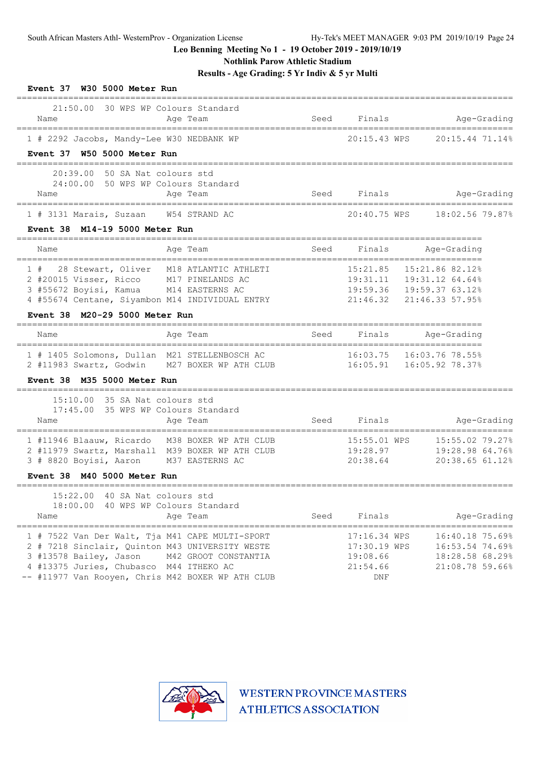**Nothlink Parow Athletic Stadium**

**Results - Age Grading: 5 Yr Indiv & 5 yr Multi**

| Event 37 W30 5000 Meter Run                                                                                                                                                                                                  |                             |      |                                                             |                                                                                                       |  |
|------------------------------------------------------------------------------------------------------------------------------------------------------------------------------------------------------------------------------|-----------------------------|------|-------------------------------------------------------------|-------------------------------------------------------------------------------------------------------|--|
| 21:50.00 30 WPS WP Colours Standard<br>Name                                                                                                                                                                                  | Age Team                    | Seed | Finals                                                      | Age-Grading                                                                                           |  |
| 1 # 2292 Jacobs, Mandy-Lee W30 NEDBANK WP                                                                                                                                                                                    |                             |      | 20:15.43 WPS                                                | 20:15.44 71.14%                                                                                       |  |
| Event 37 W50 5000 Meter Run                                                                                                                                                                                                  |                             |      |                                                             |                                                                                                       |  |
| 20:39.00 50 SA Nat colours std<br>24:00.00 50 WPS WP Colours Standard<br>Name                                                                                                                                                | Age Team                    |      | Seed Finals                                                 | Age-Grading                                                                                           |  |
| 1 # 3131 Marais, Suzaan W54 STRAND AC                                                                                                                                                                                        |                             |      | 20:40.75 WPS                                                | 18:02.56 79.87%                                                                                       |  |
| Event 38 M14-19 5000 Meter Run                                                                                                                                                                                               |                             |      |                                                             |                                                                                                       |  |
| Name                                                                                                                                                                                                                         | Age Team                    | Seed | Finals                                                      | Age-Grading                                                                                           |  |
| 28 Stewart, Oliver M18 ATLANTIC ATHLETI<br>1#<br>2 #20015 Visser, Ricco M17 PINELANDS AC<br>3 #55672 Boyisi, Kamua M14 EASTERNS AC<br>4 #55674 Centane, Siyambon M14 INDIVIDUAL ENTRY                                        |                             |      | 15:21.85                                                    | 15:21.86 82.12%<br>19:31.11  19:31.12  64.64%<br>19:59.36 19:59.37 63.12%<br>21:46.32 21:46.33 57.95% |  |
| Event 38 M20-29 5000 Meter Run                                                                                                                                                                                               |                             |      |                                                             |                                                                                                       |  |
| Name                                                                                                                                                                                                                         | Age Team                    | Seed | Finals                                                      | Age-Grading                                                                                           |  |
| 1 # 1405 Solomons, Dullan M21 STELLENBOSCH AC<br>2 #11983 Swartz, Godwin M27 BOXER WP ATH CLUB 16:05.91 16:05.92 78.37%                                                                                                      |                             |      |                                                             | 16:03.75  16:03.76  78.55%                                                                            |  |
| Event 38 M35 5000 Meter Run                                                                                                                                                                                                  |                             |      |                                                             |                                                                                                       |  |
| 15:10.00 35 SA Nat colours std<br>17:45.00 35 WPS WP Colours Standard<br>Name                                                                                                                                                | Age Team<br>=============== |      | Seed Finals                                                 | Age-Grading                                                                                           |  |
| 1 #11946 Blaauw, Ricardo M38 BOXER WP ATH CLUB<br>2 #11979 Swartz, Marshall M39 BOXER WP ATH CLUB<br>3 # 8820 Boyisi, Aaron M37 EASTERNS AC                                                                                  |                             |      | 19:28.97<br>20:38.64                                        | ------------------------------------<br>19:28.98 64.76%<br>20:38.65 61.12%                            |  |
| Event 38 M40 5000 Meter Run                                                                                                                                                                                                  |                             |      |                                                             |                                                                                                       |  |
| 15:22.00 40 SA Nat colours std<br>18:00.00 40 WPS WP Colours Standard<br>Name                                                                                                                                                | Age Team                    | Seed | Finals                                                      | Age-Grading                                                                                           |  |
| 1 # 7522 Van Der Walt, Tja M41 CAPE MULTI-SPORT<br>2 # 7218 Sinclair, Quinton M43 UNIVERSITY WESTE<br>3 #13578 Bailey, Jason<br>4 #13375 Juries, Chubasco M44 ITHEKO AC<br>-- #11977 Van Rooyen, Chris M42 BOXER WP ATH CLUB | M42 GROOT CONSTANTIA        |      | 17:16.34 WPS<br>17:30.19 WPS<br>19:08.66<br>21:54.66<br>DNF | 16:40.18 75.69%<br>16:53.54 74.69%<br>18:28.58 68.29%<br>21:08.78 59.66%                              |  |

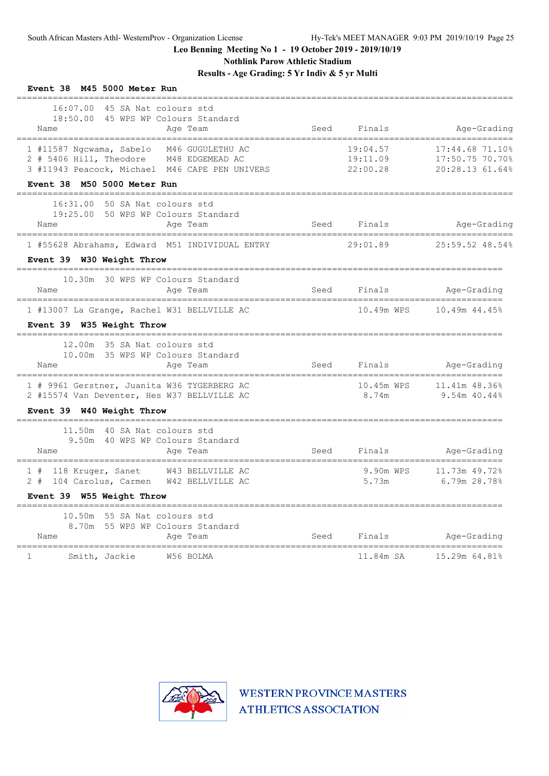**Nothlink Parow Athletic Stadium**

**Results - Age Grading: 5 Yr Indiv & 5 yr Multi**

| Event 38 M45 5000 Meter Run                                                                                                                                            |      |                                  |                                                       |
|------------------------------------------------------------------------------------------------------------------------------------------------------------------------|------|----------------------------------|-------------------------------------------------------|
| 16:07.00 45 SA Nat colours std<br>18:50.00 45 WPS WP Colours Standard<br>Age Team<br>Name<br>-----------------------------------<br>---------------------------------- |      | Seed Finals                      | Age-Grading<br>------------------------               |
| 1 #11587 Ngcwama, Sabelo M46 GUGULETHU AC<br>2 # 5406 Hill, Theodore M48 EDGEMEAD AC<br>3 #11943 Peacock, Michael M46 CAPE PEN UNIVERS                                 |      | 19:04.57<br>19:11.09<br>22:00.28 | 17:44.68 71.10%<br>17:50.75 70.70%<br>20:28.13 61.64% |
| Event 38 M50 5000 Meter Run                                                                                                                                            |      |                                  |                                                       |
| 16:31.00<br>50 SA Nat colours std<br>19:25.00 50 WPS WP Colours Standard<br>Name<br>Age Team                                                                           | Seed | Finals                           | Age-Grading                                           |
| 1 #55628 Abrahams, Edward M51 INDIVIDUAL ENTRY                                                                                                                         |      | 29:01.89                         | 25:59.52 48.54%                                       |
| Event 39 W30 Weight Throw                                                                                                                                              |      |                                  |                                                       |
| 10.30m 30 WPS WP Colours Standard<br>Name<br>Age Team                                                                                                                  | Seed | Finals                           | Age-Grading                                           |
| 1 #13007 La Grange, Rachel W31 BELLVILLE AC                                                                                                                            |      | 10.49m WPS                       | 10.49m 44.45%                                         |
| Event 39 W35 Weight Throw                                                                                                                                              |      |                                  |                                                       |
| 12.00m 35 SA Nat colours std<br>10.00m 35 WPS WP Colours Standard<br>Age Team<br>Name                                                                                  | Seed | Finals                           | Age-Grading                                           |
| 1 # 9961 Gerstner, Juanita W36 TYGERBERG AC<br>2 #15574 Van Deventer, Hes W37 BELLVILLE AC                                                                             |      | 10.45m WPS<br>8.74m              | 11.41m 48.36%<br>9.54m 40.44%                         |
| Event 39 W40 Weight Throw                                                                                                                                              |      |                                  |                                                       |
| 11.50m 40 SA Nat colours std<br>9.50m 40 WPS WP Colours Standard<br>Name<br>Age Team                                                                                   | Seed | Finals                           | Age-Grading                                           |
| 1 # 118 Kruger, Sanet W43 BELLVILLE AC<br>$2 +$<br>104 Carolus, Carmen W42 BELLVILLE AC                                                                                |      | 9.90m WPS<br>5.73m               | 11.73m 49.72%<br>6.79m 28.78%                         |
| Event 39 W55 Weight Throw                                                                                                                                              |      |                                  |                                                       |
| 10.50m 55 SA Nat colours std<br>8.70m 55 WPS WP Colours Standard<br>Name<br>Age Team                                                                                   | Seed | Finals                           | Age-Grading                                           |
| $\mathbf{1}$<br>Smith, Jackie<br>W56 BOLMA                                                                                                                             |      | 11.84m SA                        | 15.29m 64.81%                                         |